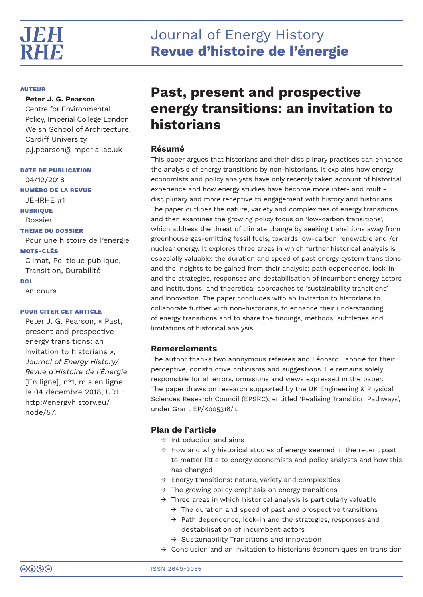# **AUTEUR**

**Peter J. G. Pearson**

Centre for Environmental Policy, Imperial College London Welsh School of Architecture, Cardiff University p.j.pearson@imperial.ac.uk

**DATE DE PUBLICATION** 04/12/2018 **NUMÉRO DE LA REVUE** JEHRHE #1 **RUBRIQUE** Dossier **THÈME DU DOSSIER** Pour une histoire de l'énergie **MOTS-CLÉS** Climat, Politique publique, Transition, Durabilité **DOI** en cours

# **POUR CITER CET ARTICLE**

Peter J. G. Pearson, « Past, present and prospective energy transitions: an invitation to historians », *Journal of Energy History/ Revue d'Histoire de l'Énergie* [En ligne], n°1, mis en ligne le 04 décembre 2018, URL : http://energyhistory.eu/ node/57.

# **Past, present and prospective energy transitions: an invitation to historians**

# **Résumé**

This paper argues that historians and their disciplinary practices can enhance the analysis of energy transitions by non-historians. It explains how energy economists and policy analysts have only recently taken account of historical experience and how energy studies have become more inter- and multidisciplinary and more receptive to engagement with history and historians. The paper outlines the nature, variety and complexities of energy transitions, and then examines the growing policy focus on 'low-carbon transitions', which address the threat of climate change by seeking transitions away from greenhouse gas-emitting fossil fuels, towards low-carbon renewable and /or nuclear energy. It explores three areas in which further historical analysis is especially valuable: the duration and speed of past energy system transitions and the insights to be gained from their analysis; path dependence, lock-in and the strategies, responses and destabilisation of incumbent energy actors and institutions; and theoretical approaches to 'sustainability transitions' and innovation. The paper concludes with an invitation to historians to collaborate further with non-historians, to enhance their understanding of energy transitions and to share the findings, methods, subtleties and limitations of historical analysis.

# **Remerciements**

The author thanks two anonymous referees and Léonard Laborie for their perceptive, constructive criticisms and suggestions. He remains solely responsible for all errors, omissions and views expressed in the paper. The paper draws on research supported by the UK Engineering & Physical Sciences Research Council (EPSRC), entitled 'Realising Transition Pathways', under Grant EP/K005316/1.

# **Plan de l'article**

- → Introduction and aims
- $\rightarrow$  How and why historical studies of energy seemed in the recent past to matter little to energy economists and policy analysts and how this has changed
- $\rightarrow$  Energy transitions: nature, variety and complexities
- $\rightarrow$  The growing policy emphasis on energy transitions
- $\rightarrow$  Three areas in which historical analysis is particularly valuable
	- $\rightarrow$  The duration and speed of past and prospective transitions
	- → Path dependence, lock-in and the strategies, responses and destabilisation of incumbent actors
	- → Sustainability Transitions and innovation
- $\rightarrow$  Conclusion and an invitation to historians économiques en transition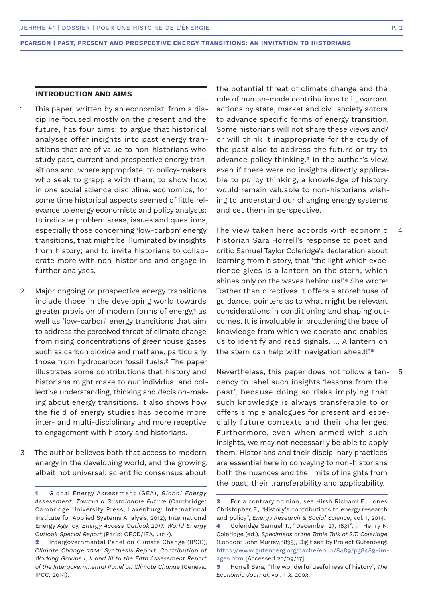# **INTRODUCTION AND AIMS**

- This paper, written by an economist, from a discipline focused mostly on the present and the future, has four aims: to argue that historical analyses offer insights into past energy transitions that are of value to non-historians who study past, current and prospective energy transitions and, where appropriate, to policy-makers who seek to grapple with them; to show how, in one social science discipline, economics, for some time historical aspects seemed of little relevance to energy economists and policy analysts; to indicate problem areas, issues and questions, especially those concerning 'low-carbon' energy transitions, that might be illuminated by insights from history; and to invite historians to collaborate more with non-historians and engage in further analyses. 1
- Major ongoing or prospective energy transitions include those in the developing world towards greater provision of modern forms of energy,**1** as well as 'low-carbon' energy transitions that aim to address the perceived threat of climate change from rising concentrations of greenhouse gases such as carbon dioxide and methane, particularly those from hydrocarbon fossil fuels.**2** The paper illustrates some contributions that history and historians might make to our individual and collective understanding, thinking and decision-making about energy transitions. It also shows how the field of energy studies has become more inter- and multi-disciplinary and more receptive to engagement with history and historians.  $\mathcal{D}$
- The author believes both that access to modern energy in the developing world, and the growing, albeit not universal, scientific consensus about 3

the potential threat of climate change and the role of human-made contributions to it, warrant actions by state, market and civil society actors to advance specific forms of energy transition. Some historians will not share these views and/ or will think it inappropriate for the study of the past also to address the future or try to advance policy thinking.**3** In the author's view, even if there were no insights directly applicable to policy thinking, a knowledge of history would remain valuable to non-historians wishing to understand our changing energy systems and set them in perspective.

The view taken here accords with economic historian Sara Horrell's response to poet and critic Samuel Taylor Coleridge's declaration about learning from history, that 'the light which experience gives is a lantern on the stern, which shines only on the waves behind us!'.**4** She wrote: 'Rather than directives it offers a storehouse of guidance, pointers as to what might be relevant considerations in conditioning and shaping outcomes. It is invaluable in broadening the base of knowledge from which we operate and enables us to identify and read signals. … A lantern on the stern can help with navigation ahead!'.**<sup>5</sup>** 4

Nevertheless, this paper does not follow a tendency to label such insights 'lessons from the past', because doing so risks implying that such knowledge is always transferable to or offers simple analogues for present and especially future contexts and their challenges. Furthermore, even when armed with such insights, we may not necessarily be able to apply them. Historians and their disciplinary practices are essential here in conveying to non-historians both the nuances and the limits of insights from the past, their transferability and applicability.

5

**<sup>1</sup>** Global Energy Assessment (GEA), *Global Energy Assessment: Toward a Sustainable Future* (Cambridge: Cambridge University Press, Laxenburg: International Institute for Applied Systems Analysis, 2012); International Energy Agency, *Energy Access Outlook 2017. World Energy Outlook Special Report* (Paris: OECD/IEA, 2017).

**<sup>2</sup>** Intergovernmental Panel on Climate Change (IPCC), *Climate Change 2014: Synthesis Report. Contribution of Working Groups I, II and III to the Fifth Assessment Report of the Intergovernmental Panel on Climate Change* (Geneva: IPCC, 2014).

**<sup>3</sup>** For a contrary opinion, see Hirsh Richard F., Jones Christopher F., "History's contributions to energy research and policy", *Energy Research & Social Science*, vol. 1, 2014. **4** Coleridge Samuel T., "December 27, 1831", in Henry N. Coleridge (ed.), *Specimens of the Table Talk of S.T. Coleridge*

<sup>(</sup>London: John Murray, 1835), Digitised by Project Gutenberg: https://www.gutenberg.org/cache/epub/8489/pg8489-images.htm [Accessed 20/09/17].

**<sup>5</sup>** Horrell Sara, "The wonderful usefulness of history", *The Economic Journal*, vol. 113, 2003.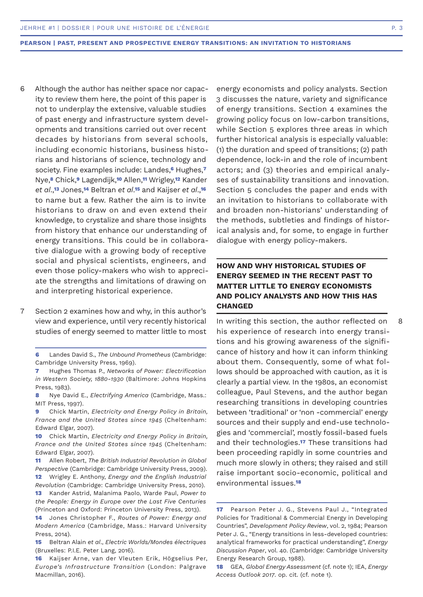- Although the author has neither space nor capacity to review them here, the point of this paper is not to underplay the extensive, valuable studies of past energy and infrastructure system developments and transitions carried out over recent decades by historians from several schools, including economic historians, business historians and historians of science, technology and society. Fine examples include: Landes,**6** Hughes,**<sup>7</sup>** Nye,**8** Chick,**9** Lagendijk,**10** Allen,**11** Wrigley,**12** Kander *et al*.,**13** Jones,**14** Beltran *et al*.**15** and Kaijser *et al*.,**<sup>16</sup>** to name but a few. Rather the aim is to invite historians to draw on and even extend their knowledge, to crystalize and share those insights from history that enhance our understanding of energy transitions. This could be in collaborative dialogue with a growing body of receptive social and physical scientists, engineers, and even those policy-makers who wish to appreciate the strengths and limitations of drawing on and interpreting historical experience. 6
- Section 2 examines how and why, in this author's view and experience, until very recently historical studies of energy seemed to matter little to most 7

- **11** Allen Robert, *The British Industrial Revolution in Global Perspective* (Cambridge: Cambridge University Press, 2009). **12** Wrigley E. Anthony, *Energy and the English Industrial Revolution* (Cambridge: Cambridge University Press, 2010).
- **13** Kander Astrid, Malanima Paolo, Warde Paul, *Power to the People: Energy in Europe over the Last Five Centuries*  (Princeton and Oxford: Princeton University Press, 2013).

**14** Jones Christopher F., *Routes of Power: Energy and Modern America* (Cambridge, Mass.: Harvard University Press, 2014).

**15** Beltran Alain *et al*., *Electric Worlds/Mondes électriques*  (Bruxelles: P.I.E. Peter Lang, 2016).

energy economists and policy analysts. Section 3 discusses the nature, variety and significance of energy transitions. Section 4 examines the growing policy focus on low-carbon transitions, while Section 5 explores three areas in which further historical analysis is especially valuable: (1) the duration and speed of transitions; (2) path dependence, lock-in and the role of incumbent actors; and (3) theories and empirical analyses of sustainability transitions and innovation. Section 5 concludes the paper and ends with an invitation to historians to collaborate with and broaden non-historians' understanding of the methods, subtleties and findings of historical analysis and, for some, to engage in further dialogue with energy policy-makers.

# **HOW AND WHY HISTORICAL STUDIES OF ENERGY SEEMED IN THE RECENT PAST TO MATTER LITTLE TO ENERGY ECONOMISTS AND POLICY ANALYSTS AND HOW THIS HAS CHANGED**

In writing this section, the author reflected on his experience of research into energy transitions and his growing awareness of the significance of history and how it can inform thinking about them. Consequently, some of what follows should be approached with caution, as it is clearly a partial view. In the 1980s, an economist colleague, Paul Stevens, and the author began researching transitions in developing countries between 'traditional' or 'non -commercial' energy sources and their supply and end-use technologies and 'commercial', mostly fossil-based fuels and their technologies.**17** These transitions had been proceeding rapidly in some countries and much more slowly in others; they raised and still raise important socio-economic, political and environmental issues.**<sup>18</sup>**

**<sup>6</sup>** Landes David S., *The Unbound Prometheus* (Cambridge: Cambridge University Press, 1969).

**<sup>7</sup>** Hughes Thomas P., *Networks of Power: Electrification in Western Society, 1880-1930* (Baltimore: Johns Hopkins Press, 1983).

**<sup>8</sup>** Nye David E., *Electrifying America* (Cambridge, Mass.: MIT Press, 1997).

**<sup>9</sup>** Chick Martin, *Electricity and Energy Policy in Britain, France and the United States since 1945* (Cheltenham: Edward Elgar, 2007).

**<sup>10</sup>** Chick Martin, *Electricity and Energy Policy in Britain, France and the United States since 1945* (Cheltenham: Edward Elgar, 2007).

**<sup>16</sup>** Kaijser Arne, van der Vleuten Erik, Högselius Per, *Europe's Infrastructure Transition* (London: Palgrave Macmillan, 2016).

**<sup>17</sup>** Pearson Peter J. G., Stevens Paul J., "Integrated Policies for Traditional & Commercial Energy in Developing Countries", *Development Policy Review*, vol. 2, 1984; Pearson Peter J. G., "Energy transitions in less-developed countries: analytical frameworks for practical understanding", *Energy Discussion Paper*, vol. 40. (Cambridge: Cambridge University Energy Research Group, 1988).

**<sup>18</sup>** GEA, *Global Energy Assessment* (cf. note 1); IEA, *Energy Access Outlook 2017*. op. cit. (cf. note 1).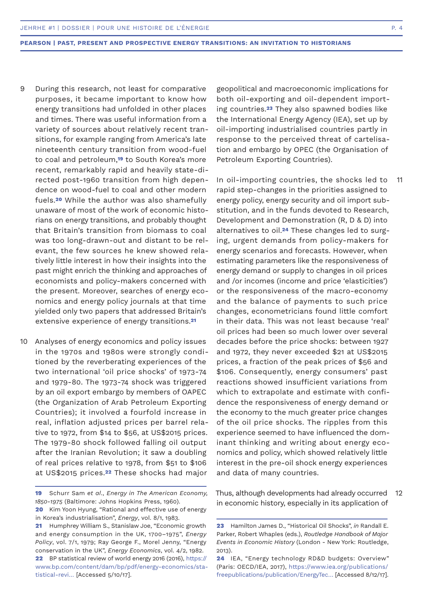- During this research, not least for comparative purposes, it became important to know how energy transitions had unfolded in other places and times. There was useful information from a variety of sources about relatively recent transitions, for example ranging from America's late nineteenth century transition from wood-fuel to coal and petroleum,**19** to South Korea's more recent, remarkably rapid and heavily state-directed post-1960 transition from high dependence on wood-fuel to coal and other modern fuels.**20** While the author was also shamefully unaware of most of the work of economic historians on energy transitions, and probably thought that Britain's transition from biomass to coal was too long-drawn-out and distant to be relevant, the few sources he knew showed relatively little interest in how their insights into the past might enrich the thinking and approaches of economists and policy-makers concerned with the present. Moreover, searches of energy economics and energy policy journals at that time yielded only two papers that addressed Britain's extensive experience of energy transitions.**<sup>21</sup>** 9
- 10 Analyses of energy economics and policy issues in the 1970s and 1980s were strongly conditioned by the reverberating experiences of the two international 'oil price shocks' of 1973-74 and 1979-80. The 1973-74 shock was triggered by an oil export embargo by members of OAPEC (the Organization of Arab Petroleum Exporting Countries); it involved a fourfold increase in real, inflation adjusted prices per barrel relative to 1972, from \$14 to \$56, at US\$2015 prices. The 1979-80 shock followed falling oil output after the Iranian Revolution; it saw a doubling of real prices relative to 1978, from \$51 to \$106 at US\$2015 prices.**22** These shocks had major

tistical-revi… [Accessed 5/10/17].

geopolitical and macroeconomic implications for both oil-exporting and oil-dependent importing countries.**23** They also spawned bodies like the International Energy Agency (IEA), set up by oil-importing industrialised countries partly in response to the perceived threat of cartelisation and embargo by OPEC (the Organisation of Petroleum Exporting Countries).

In oil-importing countries, the shocks led to rapid step-changes in the priorities assigned to energy policy, energy security and oil import substitution, and in the funds devoted to Research, Development and Demonstration (R, D & D) into alternatives to oil.**24** These changes led to surging, urgent demands from policy-makers for energy scenarios and forecasts. However, when estimating parameters like the responsiveness of energy demand or supply to changes in oil prices and /or incomes (income and price 'elasticities') or the responsiveness of the macro-economy and the balance of payments to such price changes, econometricians found little comfort in their data. This was not least because 'real' oil prices had been so much lower over several decades before the price shocks: between 1927 and 1972, they never exceeded \$21 at US\$2015 prices, a fraction of the peak prices of \$56 and \$106. Consequently, energy consumers' past reactions showed insufficient variations from which to extrapolate and estimate with confidence the responsiveness of energy demand or the economy to the much greater price changes of the oil price shocks. The ripples from this experience seemed to have influenced the dominant thinking and writing about energy economics and policy, which showed relatively little interest in the pre-oil shock energy experiences and data of many countries. 11

Thus, although developments had already occurred in economic history, especially in its application of 12

**<sup>19</sup>** Schurr Sam *et al*., *Energy in The American Economy, 1850-1975* (Baltimore: Johns Hopkins Press, 1960).

**<sup>20</sup>** Kim Yoon Hyung, "Rational and effective use of energy in Korea's industrialisation", *Energy*, vol. 8/1, 1983.

**<sup>21</sup>** Humphrey William S., Stanislaw Joe, "Economic growth and energy consumption in the UK, 1700–1975", *Energy Policy*, vol. 7/1, 1979; Ray George F., Morel Jenny, "Energy conservation in the UK", *Energy Economics*, vol. 4/2, 1982. **22** BP statistical review of world energy 2016 (2016), https:// www.bp.com/content/dam/bp/pdf/energy-economics/sta-

**<sup>23</sup>** Hamilton James D., "Historical Oil Shocks", *in* Randall E. Parker, Robert Whaples (eds.), *Routledge Handbook of Major Events in Economic History* (London - New York: Routledge, 2013).

**<sup>24</sup>** IEA, "Energy technology RD&D budgets: Overview" (Paris: OECD/IEA, 2017), https://www.iea.org/publications/ freepublications/publication/EnergyTec… [Accessed 8/12/17].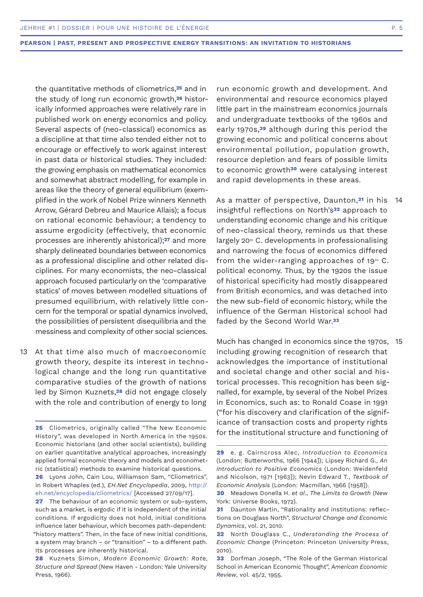the quantitative methods of cliometrics,**25** and in the study of long run economic growth,**26** historically informed approaches were relatively rare in published work on energy economics and policy. Several aspects of (neo-classical) economics as a discipline at that time also tended either not to encourage or effectively to work against interest in past data or historical studies. They included: the growing emphasis on mathematical economics and somewhat abstract modelling, for example in areas like the theory of general equilibrium (exemplified in the work of Nobel Prize winners Kenneth Arrow, Gérard Debreu and Maurice Allais); a focus on rational economic behaviour; a tendency to assume ergodicity (effectively, that economic processes are inherently ahistorical);**27** and more sharply delineated boundaries between economics as a professional discipline and other related disciplines. For many economists, the neo-classical approach focused particularly on the 'comparative statics' of moves between modelled situations of presumed equilibrium, with relatively little concern for the temporal or spatial dynamics involved, the possibilities of persistent disequilibria and the messiness and complexity of other social sciences.

At that time also much of macroeconomic growth theory, despite its interest in technological change and the long run quantitative comparative studies of the growth of nations led by Simon Kuznets,**28** did not engage closely with the role and contribution of energy to long 13

**25** Cliometrics, originally called "The New Economic History", was developed in North America in the 1950s. Economic historians (and other social scientists), building on earlier quantitative analytical approaches, increasingly applied formal economic theory and models and econometric (statistical) methods to examine historical questions.

run economic growth and development. And environmental and resource economics played little part in the mainstream economics journals and undergraduate textbooks of the 1960s and early 1970s,**29** although during this period the growing economic and political concerns about environmental pollution, population growth, resource depletion and fears of possible limits to economic growth**30** were catalysing interest and rapid developments in these areas.

As a matter of perspective, Daunton,**31** in his insightful reflections on North's**32** approach to understanding economic change and his critique of neo-classical theory, reminds us that these largely  $20<sup>th</sup>$  C. developments in professionalising and narrowing the focus of economics differed from the wider-ranging approaches of  $19<sup>th</sup>$  C. political economy. Thus, by the 1920s the issue of historical specificity had mostly disappeared from British economics, and was detached into the new sub-field of economic history, while the influence of the German Historical school had faded by the Second World War.**<sup>33</sup>** 14

Much has changed in economics since the 1970s, 15including growing recognition of research that acknowledges the importance of institutional and societal change and other social and historical processes. This recognition has been signalled, for example, by several of the Nobel Prizes in Economics, such as: to Ronald Coase in 1991 ("for his discovery and clarification of the significance of transaction costs and property rights for the institutional structure and functioning of

**<sup>26</sup>** Lyons John, Cain Lou, Williamson Sam, "Cliometrics", in Robert Whaples (ed.), *EH.Net Encyclopedia*, 2009, http:// eh.net/encyclopedia/cliometrics/ [Accessed 27/09/17].

**<sup>27</sup>** The behaviour of an economic system or sub-system, such as a market, is ergodic if it is independent of the initial conditions. If ergodicity does not hold, initial conditions influence later behaviour, which becomes path-dependent: "history matters". Then, in the face of new initial conditions, a system may branch – or "transition" – to a different path. Its processes are inherently historical.

**<sup>28</sup>** Kuznets Simon, *Modern Economic Growth: Rate, Structure and Spread* (New Haven - London: Yale University Press, 1966).

**<sup>29</sup>** e. g. Cairncross Alec, *Introduction to Economics*  (London: Butterworths, 1966 [1944]); Lipsey Richard G., *An Introduction to Positive Economics* (London: Weidenfeld and Nicolson, 1971 [1963]); Nevin Edward T., *Textbook of Economic Analysis* (London: Macmillan, 1966 [1958]).

**<sup>30</sup>** Meadows Donella H. *et al*., *The Limits to Growth* (New York: Universe Books, 1972).

**<sup>31</sup>** Daunton Martin, "Rationality and institutions: reflections on Douglass North", *Structural Change and Economic Dynamics*, vol. 21, 2010.

**<sup>32</sup>** North Douglass C., *Understanding the Process of Economic Change* (Princeton: Princeton University Press, 2010).

**<sup>33</sup>** Dorfman Joseph, "The Role of the German Historical School in American Economic Thought", *American Economic Review*, vol. 45/2, 1955.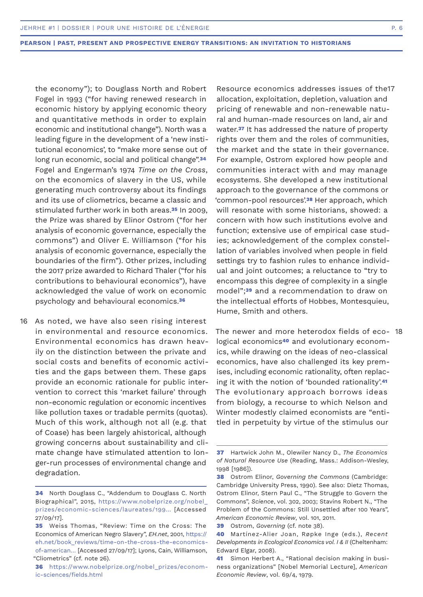the economy"); to Douglass North and Robert Fogel in 1993 ("for having renewed research in economic history by applying economic theory and quantitative methods in order to explain economic and institutional change"). North was a leading figure in the development of a 'new institutional economics', to "make more sense out of long run economic, social and political change".**<sup>34</sup>** Fogel and Engerman's 1974 *Time on the Cross*, on the economics of slavery in the US, while generating much controversy about its findings and its use of cliometrics, became a classic and stimulated further work in both areas.**35** In 2009, the Prize was shared by Elinor Ostrom ("for her analysis of economic governance, especially the commons") and Oliver E. Williamson ("for his analysis of economic governance, especially the boundaries of the firm"). Other prizes, including the 2017 prize awarded to Richard Thaler ("for his contributions to behavioural economics"), have acknowledged the value of work on economic psychology and behavioural economics.**<sup>36</sup>**

16 As noted, we have also seen rising interest in environmental and resource economics. Environmental economics has drawn heavily on the distinction between the private and social costs and benefits of economic activities and the gaps between them. These gaps provide an economic rationale for public intervention to correct this 'market failure' through non-economic regulation or economic incentives like pollution taxes or tradable permits (quotas). Much of this work, although not all (e.g. that of Coase) has been largely ahistorical, although growing concerns about sustainability and climate change have stimulated attention to longer-run processes of environmental change and degradation.

Resource economics addresses issues of the17 allocation, exploitation, depletion, valuation and pricing of renewable and non-renewable natural and human-made resources on land, air and water.**37** It has addressed the nature of property rights over them and the roles of communities, the market and the state in their governance. For example, Ostrom explored how people and communities interact with and may manage ecosystems. She developed a new institutional approach to the governance of the commons or 'common-pool resources'.**38** Her approach, which will resonate with some historians, showed: a concern with how such institutions evolve and function; extensive use of empirical case studies; acknowledgement of the complex constellation of variables involved when people in field settings try to fashion rules to enhance individual and joint outcomes; a reluctance to "try to encompass this degree of complexity in a single model";**39** and a recommendation to draw on the intellectual efforts of Hobbes, Montesquieu, Hume, Smith and others.

The newer and more heterodox fields of eco-18logical economics**40** and evolutionary economics, while drawing on the ideas of neo-classical economics, have also challenged its key premises, including economic rationality, often replacing it with the notion of 'bounded rationality'.**<sup>41</sup>** The evolutionary approach borrows ideas from biology, a recourse to which Nelson and Winter modestly claimed economists are "entitled in perpetuity by virtue of the stimulus our

**<sup>34</sup>** North Douglass C., "Addendum to Douglass C. North Biographical", 2015, https://www.nobelprize.org/nobel\_ prizes/economic-sciences/laureates/199… [Accessed 27/09/17].

**<sup>35</sup>** Weiss Thomas, "Review: Time on the Cross: The Economics of American Negro Slavery", *EH.net*, 2001, https:// eh.net/book\_reviews/time-on-the-cross-the-economicsof-american… [Accessed 27/09/17]; Lyons, Cain, Williamson, "Cliometrics" (cf. note 26).

**<sup>36</sup>** https://www.nobelprize.org/nobel\_prizes/economic-sciences/fields.html

**<sup>37</sup>** Hartwick John M., Olewiler Nancy D., *The Economics of Natural Resource Use* (Reading, Mass.: Addison-Wesley, 1998 [1986]).

**<sup>38</sup>** Ostrom Elinor, *Governing the Commons* (Cambridge: Cambridge University Press, 1990). See also: Dietz Thomas, Ostrom Elinor, Stern Paul C., "The Struggle to Govern the Commons", *Science*, vol. 302, 2003; Stavins Robert N., "The Problem of the Commons: Still Unsettled after 100 Years", *American Economic Review*, vol. 101, 2011.

**<sup>39</sup>** Ostrom, *Governing* (cf. note 38).

**<sup>40</sup>** Martínez-Alier Joan, Røpke Inge (eds.), *Recent Developments in Ecological Economics vol. I & II* (Cheltenham: Edward Elgar, 2008).

**<sup>41</sup>** Simon Herbert A., "Rational decision making in business organizations" [Nobel Memorial Lecture], *American Economic Review*, vol. 69/4, 1979.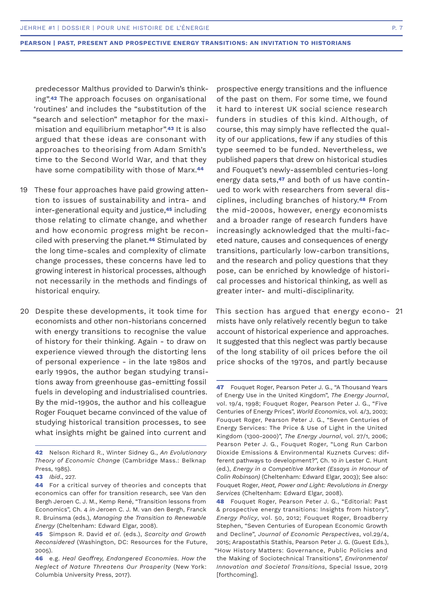predecessor Malthus provided to Darwin's thinking".**42** The approach focuses on organisational 'routines' and includes the "substitution of the "search and selection" metaphor for the maximisation and equilibrium metaphor".**43** It is also argued that these ideas are consonant with approaches to theorising from Adam Smith's time to the Second World War, and that they have some compatibility with those of Marx.**<sup>44</sup>**

- These four approaches have paid growing attention to issues of sustainability and intra- and inter-generational equity and justice,**45** including those relating to climate change, and whether and how economic progress might be reconciled with preserving the planet.**46** Stimulated by the long time-scales and complexity of climate change processes, these concerns have led to growing interest in historical processes, although not necessarily in the methods and findings of historical enquiry. 19
- 20 Despite these developments, it took time for This section has argued that energy econo- 21 economists and other non-historians concerned with energy transitions to recognise the value of history for their thinking. Again - to draw on experience viewed through the distorting lens of personal experience - in the late 1980s and early 1990s, the author began studying transitions away from greenhouse gas-emitting fossil fuels in developing and industrialised countries. By the mid-1990s, the author and his colleague Roger Fouquet became convinced of the value of studying historical transition processes, to see what insights might be gained into current and

prospective energy transitions and the influence of the past on them. For some time, we found it hard to interest UK social science research funders in studies of this kind. Although, of course, this may simply have reflected the quality of our applications, few if any studies of this type seemed to be funded. Nevertheless, we published papers that drew on historical studies and Fouquet's newly-assembled centuries-long energy data sets,**47** and both of us have continued to work with researchers from several disciplines, including branches of history.**48** From the mid-2000s, however, energy economists and a broader range of research funders have increasingly acknowledged that the multi-faceted nature, causes and consequences of energy transitions, particularly low-carbon transitions, and the research and policy questions that they pose, can be enriched by knowledge of historical processes and historical thinking, as well as greater inter- and multi-disciplinarity.

This section has argued that energy economists have only relatively recently begun to take account of historical experience and approaches. It suggested that this neglect was partly because of the long stability of oil prices before the oil price shocks of the 1970s, and partly because

**<sup>42</sup>** Nelson Richard R., Winter Sidney G., *An Evolutionary Theory of Economic Change* (Cambridge Mass.: Belknap Press, 1985).

**<sup>43</sup>** *Ibid*., 227.

**<sup>44</sup>** For a critical survey of theories and concepts that economics can offer for transition research, see Van den Bergh Jeroen C. J. M., Kemp René, "Transition lessons from Economics", Ch. 4 *in* Jeroen C. J. M. van den Bergh, Franck R. Bruinsma (eds.), *Managing the Transition to Renewable Energy* (Cheltenham: Edward Elgar, 2008).

**<sup>45</sup>** Simpson R. David *et al*. (eds.), *Scarcity and Growth Reconsidered* (Washington, DC: Resources for the Future, 2005).

**<sup>46</sup>** e.g. *Heal Geoffrey, Endangered Economies. How the Neglect of Nature Threatens Our Prosperity* (New York: Columbia University Press, 2017).

**<sup>47</sup>** Fouquet Roger, Pearson Peter J. G., "A Thousand Years of Energy Use in the United Kingdom", *The Energy Journal*, vol. 19/4, 1998; Fouquet Roger, Pearson Peter J. G., "Five Centuries of Energy Prices", *World Economics*, vol. 4/3, 2003; Fouquet Roger, Pearson Peter J. G., "Seven Centuries of Energy Services: The Price & Use of Light in the United Kingdom (1300-2000)", *The Energy Journal*, vol. 27/1, 2006; Pearson Peter J. G., Fouquet Roger, "Long Run Carbon Dioxide Emissions & Environmental Kuznets Curves: different pathways to development?", Ch. 10 *in* Lester C. Hunt (ed.), *Energy in a Competitive Market (Essays in Honour of Colin Robinson)* (Cheltenham: Edward Elgar, 2003); See also: Fouquet Roger, *Heat, Power and Light: Revolutions in Energy Services* (Cheltenham: Edward Elgar, 2008).

**<sup>48</sup>** Fouquet Roger, Pearson Peter J. G., "Editorial: Past & prospective energy transitions: Insights from history", *Energy Policy*, vol. 50, 2012; Fouquet Roger, Broadberry Stephen, "Seven Centuries of European Economic Growth and Decline", *Journal of Economic Perspectives*, vol.29/4, 2015; Arapostathis Stathis, Pearson Peter J. G. (Guest Eds.), "How History Matters: Governance, Public Policies and the Making of Sociotechnical Transitions", *Environmental Innovation and Societal Transitions*, Special Issue, 2019 [forthcoming].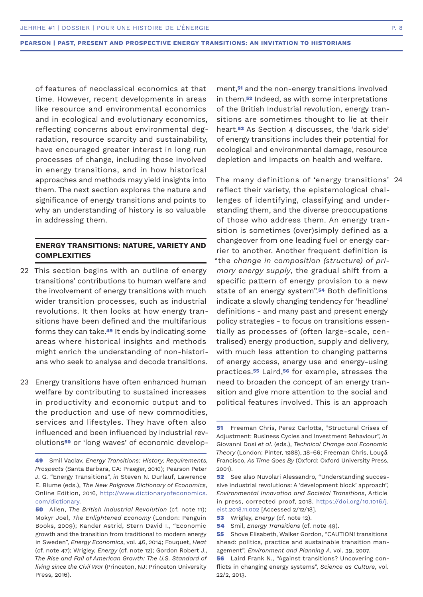of features of neoclassical economics at that time. However, recent developments in areas like resource and environmental economics and in ecological and evolutionary economics, reflecting concerns about environmental degradation, resource scarcity and sustainability, have encouraged greater interest in long run processes of change, including those involved in energy transitions, and in how historical approaches and methods may yield insights into them. The next section explores the nature and significance of energy transitions and points to why an understanding of history is so valuable in addressing them.

# **ENERGY TRANSITIONS: NATURE, VARIETY AND COMPLEXITIES**

- 22 This section begins with an outline of energy transitions' contributions to human welfare and the involvement of energy transitions with much wider transition processes, such as industrial revolutions. It then looks at how energy transitions have been defined and the multifarious forms they can take.**49** It ends by indicating some areas where historical insights and methods might enrich the understanding of non-historians who seek to analyse and decode transitions.
- 23 Energy transitions have often enhanced human welfare by contributing to sustained increases in productivity and economic output and to the production and use of new commodities, services and lifestyles. They have often also influenced and been influenced by industrial revolutions**50** or 'long waves' of economic develop-

ment,**51** and the non-energy transitions involved in them.**52** Indeed, as with some interpretations of the British Industrial revolution, energy transitions are sometimes thought to lie at their heart.**53** As Section 4 discusses, the 'dark side' of energy transitions includes their potential for ecological and environmental damage, resource depletion and impacts on health and welfare.

The many definitions of 'energy transitions' 24 reflect their variety, the epistemological challenges of identifying, classifying and understanding them, and the diverse preoccupations of those who address them. An energy transition is sometimes (over)simply defined as a changeover from one leading fuel or energy carrier to another. Another frequent definition is "the *change in composition (structure) of primary energy supply*, the gradual shift from a specific pattern of energy provision to a new state of an energy system".**54** Both definitions indicate a slowly changing tendency for 'headline' definitions - and many past and present energy policy strategies - to focus on transitions essentially as processes of (often large-scale, centralised) energy production, supply and delivery, with much less attention to changing patterns of energy access, energy use and energy-using practices.**55** Laird,**56** for example, stresses the need to broaden the concept of an energy transition and give more attention to the social and political features involved. This is an approach

**<sup>49</sup>** Smil Vaclav, *Energy Transitions: History, Requirements, Prospects* (Santa Barbara, CA: Praeger, 2010); Pearson Peter J. G. "Energy Transitions", *in* Steven N. Durlauf, Lawrence E. Blume (eds.), *The New Palgrave Dictionary of Economics*, Online Edition, 2016, http://www.dictionaryofeconomics. com/dictionary.

**<sup>50</sup>** Allen, *The British Industrial Revolution* (cf. note 11); Mokyr Joel, *The Enlightened Economy* (London: Penguin Books, 2009); Kander Astrid, Stern David I., "Economic growth and the transition from traditional to modern energy in Sweden", *Energy Economics*, vol. 46, 2014; Fouquet, *Heat* (cf. note 47); Wrigley, *Energy* (cf. note 12); Gordon Robert J., *The Rise and Fall of American Growth: The U.S. Standard of living since the Civil War* (Princeton, NJ: Princeton University Press, 2016).

**<sup>51</sup>** Freeman Chris, Perez Carlotta, "Structural Crises of Adjustment: Business Cycles and Investment Behaviour", *in* Giovanni Dosi *et al*. (eds.), *Technical Change and Economic Theory* (London: Pinter, 1988), 38-66; Freeman Chris, Louçã Francisco, *As Time Goes By* (Oxford: Oxford University Press, 2001).

**<sup>52</sup>** See also Nuvolari Alessandro, "Understanding successive industrial revolutions: A 'development block' approach", *Environmental Innovation and Societal Transitions*, Article in press, corrected proof, 2018. https://doi.org/10.1016/j. eist.2018.11.002 [Accessed 2/12/18].

**<sup>53</sup>** Wrigley, *Energy* (cf. note 12).

**<sup>54</sup>** Smil, *Energy Transitions* (cf. note 49).

**<sup>55</sup>** Shove Elisabeth, Walker Gordon, "CAUTION! transitions ahead: politics, practice and sustainable transition management", *Environment and Planning A*, vol. 39, 2007.

**<sup>56</sup>** Laird Frank N., "Against transitions? Uncovering conflicts in changing energy systems", *Science as Culture*, vol. 22/2, 2013.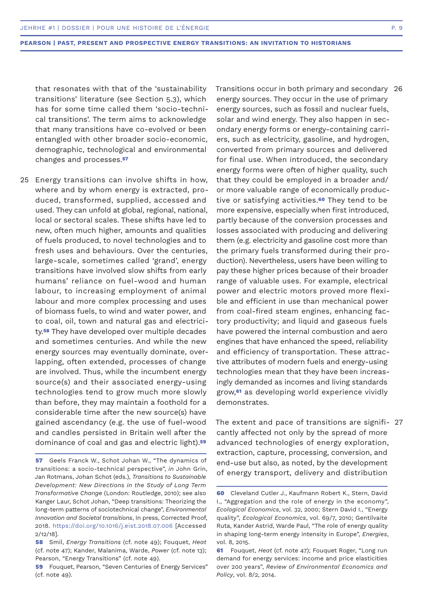that resonates with that of the 'sustainability transitions' literature (see Section 5.3), which has for some time called them 'socio-technical transitions'. The term aims to acknowledge that many transitions have co-evolved or been entangled with other broader socio-economic, demographic, technological and environmental changes and processes.**<sup>57</sup>**

25 Energy transitions can involve shifts in how, where and by whom energy is extracted, produced, transformed, supplied, accessed and used. They can unfold at global, regional, national, local or sectoral scales. These shifts have led to new, often much higher, amounts and qualities of fuels produced, to novel technologies and to fresh uses and behaviours. Over the centuries, large-scale, sometimes called 'grand', energy transitions have involved slow shifts from early humans' reliance on fuel-wood and human labour, to increasing employment of animal labour and more complex processing and uses of biomass fuels, to wind and water power, and to coal, oil, town and natural gas and electricity.**58** They have developed over multiple decades and sometimes centuries. And while the new energy sources may eventually dominate, overlapping, often extended, processes of change are involved. Thus, while the incumbent energy source(s) and their associated energy-using technologies tend to grow much more slowly than before, they may maintain a foothold for a considerable time after the new source(s) have gained ascendancy (e.g. the use of fuel-wood and candles persisted in Britain well after the dominance of coal and gas and electric light).**<sup>59</sup>**

Transitions occur in both primary and secondary 26energy sources. They occur in the use of primary energy sources, such as fossil and nuclear fuels, solar and wind energy. They also happen in secondary energy forms or energy-containing carriers, such as electricity, gasoline, and hydrogen, converted from primary sources and delivered for final use. When introduced, the secondary energy forms were often of higher quality, such that they could be employed in a broader and/ or more valuable range of economically productive or satisfying activities.**60** They tend to be more expensive, especially when first introduced, partly because of the conversion processes and losses associated with producing and delivering them (e.g. electricity and gasoline cost more than the primary fuels transformed during their production). Nevertheless, users have been willing to pay these higher prices because of their broader range of valuable uses. For example, electrical power and electric motors proved more flexible and efficient in use than mechanical power from coal-fired steam engines, enhancing factory productivity; and liquid and gaseous fuels have powered the internal combustion and aero engines that have enhanced the speed, reliability and efficiency of transportation. These attractive attributes of modern fuels and energy-using technologies mean that they have been increasingly demanded as incomes and living standards grow,**61** as developing world experience vividly demonstrates.

The extent and pace of transitions are signifi-27 cantly affected not only by the spread of more advanced technologies of energy exploration, extraction, capture, processing, conversion, and end-use but also, as noted, by the development of energy transport, delivery and distribution

**<sup>57</sup>** Geels Franck W., Schot Johan W., "The dynamics of transitions: a socio-technical perspective", *in* John Grin, Jan Rotmans, Johan Schot (eds.), *Transitions to Sustainable Development: New Directions in the Study of Long Term Transformative Change* (London: Routledge, 2010); see also Kanger Laur, Schot Johan, "Deep transitions: Theorizing the long-term patterns of sociotechnical change", *Environmental Innovation and Societal transitions*, In press, Corrected Proof, 2018. https://doi.org/10.1016/j.eist.2018.07.006 [Accessed 2/12/18].

**<sup>58</sup>** Smil, *Energy Transitions* (cf. note 49); Fouquet, *Heat* (cf. note 47); Kander, Malanima, Warde, *Power* (cf. note 13); Pearson, "Energy Transitions" (cf. note 49).

**<sup>59</sup>** Fouquet, Pearson, "Seven Centuries of Energy Services" (cf. note 49).

**<sup>60</sup>** Cleveland Cutler J., Kaufmann Robert K., Stern, David I., "Aggregation and the role of energy in the economy", *Ecological Economics*, vol. 32, 2000; Stern David I., "Energy quality", *Ecological Economics*, vol. 69/7, 2010; Gentilvaite Ruta, Kander Astrid, Warde Paul, "The role of energy quality in shaping long-term energy intensity in Europe", *Energies*, vol. 8, 2015.

**<sup>61</sup>** Fouquet, *Heat* (cf. note 47); Fouquet Roger, "Long run demand for energy services: income and price elasticities over 200 years", *Review of Environmental Economics and Policy*, vol. 8/2, 2014.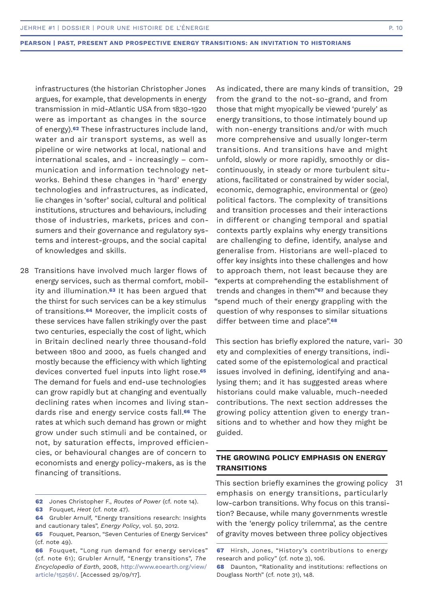infrastructures (the historian Christopher Jones argues, for example, that developments in energy transmission in mid-Atlantic USA from 1830-1920 were as important as changes in the source of energy).**62** These infrastructures include land, water and air transport systems, as well as pipeline or wire networks at local, national and international scales, and - increasingly – communication and information technology networks. Behind these changes in 'hard' energy technologies and infrastructures, as indicated, lie changes in 'softer' social, cultural and political institutions, structures and behaviours, including those of industries, markets, prices and consumers and their governance and regulatory systems and interest-groups, and the social capital of knowledges and skills.

28 Transitions have involved much larger flows of energy services, such as thermal comfort, mobility and illumination.**63** It has been argued that the thirst for such services can be a key stimulus of transitions.**64** Moreover, the implicit costs of these services have fallen strikingly over the past two centuries, especially the cost of light, which in Britain declined nearly three thousand-fold between 1800 and 2000, as fuels changed and mostly because the efficiency with which lighting devices converted fuel inputs into light rose.**<sup>65</sup>** The demand for fuels and end-use technologies can grow rapidly but at changing and eventually declining rates when incomes and living standards rise and energy service costs fall.**66** The rates at which such demand has grown or might grow under such stimuli and be contained, or not, by saturation effects, improved efficiencies, or behavioural changes are of concern to economists and energy policy-makers, as is the financing of transitions.

As indicated, there are many kinds of transition, 29 from the grand to the not-so-grand, and from those that might myopically be viewed 'purely' as energy transitions, to those intimately bound up with non-energy transitions and/or with much more comprehensive and usually longer-term transitions. And transitions have and might unfold, slowly or more rapidly, smoothly or discontinuously, in steady or more turbulent situations, facilitated or constrained by wider social, economic, demographic, environmental or (geo) political factors. The complexity of transitions and transition processes and their interactions in different or changing temporal and spatial contexts partly explains why energy transitions are challenging to define, identify, analyse and generalise from. Historians are well-placed to offer key insights into these challenges and how to approach them, not least because they are "experts at comprehending the establishment of trends and changes in them"**67** and because they "spend much of their energy grappling with the question of why responses to similar situations differ between time and place".**<sup>68</sup>**

This section has briefly explored the nature, vari-30 ety and complexities of energy transitions, indicated some of the epistemological and practical issues involved in defining, identifying and analysing them; and it has suggested areas where historians could make valuable, much-needed contributions. The next section addresses the growing policy attention given to energy transitions and to whether and how they might be guided.

# **THE GROWING POLICY EMPHASIS ON ENERGY TRANSITIONS**

This section briefly examines the growing policy emphasis on energy transitions, particularly low-carbon transitions. Why focus on this transition? Because, while many governments wrestle with the 'energy policy trilemma', as the centre of gravity moves between three policy objectives 31

**<sup>62</sup>** Jones Christopher F., *Routes of Power* (cf. note 14).

**<sup>63</sup>** Fouquet, *Heat* (cf. note 47).

**<sup>64</sup>** Grubler Arnulf, "Energy transitions research: Insights and cautionary tales", *Energy Policy*, vol. 50, 2012.

**<sup>65</sup>** Fouquet, Pearson, "Seven Centuries of Energy Services" (cf. note 49).

**<sup>66</sup>** Fouquet, "Long run demand for energy services" (cf. note 61); Grubler Arnulf, "Energy transitions", *The Encyclopedia of Earth*, 2008, http://www.eoearth.org/view/ article/152561/. [Accessed 29/09/17].

**<sup>67</sup>** Hirsh, Jones, "History's contributions to energy research and policy" (cf. note 3), 106.

**<sup>68</sup>** Daunton, "Rationality and institutions: reflections on Douglass North" (cf. note 31), 148.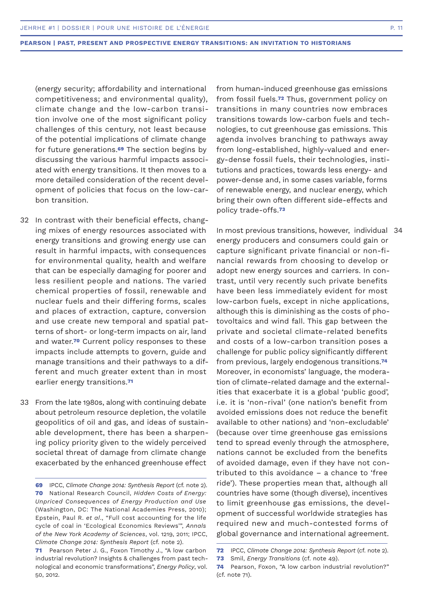(energy security; affordability and international competitiveness; and environmental quality), climate change and the low-carbon transition involve one of the most significant policy challenges of this century, not least because of the potential implications of climate change for future generations.**69** The section begins by discussing the various harmful impacts associated with energy transitions. It then moves to a more detailed consideration of the recent development of policies that focus on the low-carbon transition.

- 32 In contrast with their beneficial effects, changing mixes of energy resources associated with energy transitions and growing energy use can result in harmful impacts, with consequences for environmental quality, health and welfare that can be especially damaging for poorer and less resilient people and nations. The varied chemical properties of fossil, renewable and nuclear fuels and their differing forms, scales and places of extraction, capture, conversion and use create new temporal and spatial patterns of short- or long-term impacts on air, land and water.**70** Current policy responses to these impacts include attempts to govern, guide and manage transitions and their pathways to a different and much greater extent than in most earlier energy transitions.**<sup>71</sup>**
- 33 From the late 1980s, along with continuing debate about petroleum resource depletion, the volatile geopolitics of oil and gas, and ideas of sustainable development, there has been a sharpening policy priority given to the widely perceived societal threat of damage from climate change exacerbated by the enhanced greenhouse effect

from human-induced greenhouse gas emissions from fossil fuels.**72** Thus, government policy on transitions in many countries now embraces transitions towards low-carbon fuels and technologies, to cut greenhouse gas emissions. This agenda involves branching to pathways away from long-established, highly-valued and energy-dense fossil fuels, their technologies, institutions and practices, towards less energy- and power-dense and, in some cases variable, forms of renewable energy, and nuclear energy, which bring their own often different side-effects and policy trade-offs.**<sup>73</sup>**

In most previous transitions, however, individual 34 energy producers and consumers could gain or capture significant private financial or non-financial rewards from choosing to develop or adopt new energy sources and carriers. In contrast, until very recently such private benefits have been less immediately evident for most low-carbon fuels, except in niche applications, although this is diminishing as the costs of photovoltaics and wind fall. This gap between the private and societal climate-related benefits and costs of a low-carbon transition poses a challenge for public policy significantly different from previous, largely endogenous transitions.**<sup>74</sup>** Moreover, in economists' language, the moderation of climate-related damage and the externalities that exacerbate it is a global 'public good', i.e. it is 'non-rival' (one nation's benefit from avoided emissions does not reduce the benefit available to other nations) and 'non-excludable' (because over time greenhouse gas emissions tend to spread evenly through the atmosphere, nations cannot be excluded from the benefits of avoided damage, even if they have not contributed to this avoidance – a chance to 'free ride'). These properties mean that, although all countries have some (though diverse), incentives to limit greenhouse gas emissions, the development of successful worldwide strategies has required new and much-contested forms of global governance and international agreement.

**<sup>69</sup>** IPCC, *Climate Change 2014: Synthesis Report* (cf. note 2). **70** National Research Council, *Hidden Costs of Energy: Unpriced Consequences of Energy Production and Use*  (Washington, DC: The National Academies Press, 2010); Epstein, Paul R. *et al*., "Full cost accounting for the life cycle of coal in 'Ecological Economics Reviews'", *Annals of the New York Academy of Sciences*, vol. 1219, 2011; IPCC, *Climate Change 2014: Synthesis Report* (cf. note 2).

**<sup>71</sup>** Pearson Peter J. G., Foxon Timothy J., "A low carbon industrial revolution? Insights & challenges from past technological and economic transformations", *Energy Policy*, vol. 50, 2012.

**<sup>72</sup>** IPCC, *Climate Change 2014: Synthesis Report* (cf. note 2).

**<sup>73</sup>** Smil, *Energy Transitions* (cf. note 49).

**<sup>74</sup>** Pearson, Foxon, "A low carbon industrial revolution?" (cf. note 71).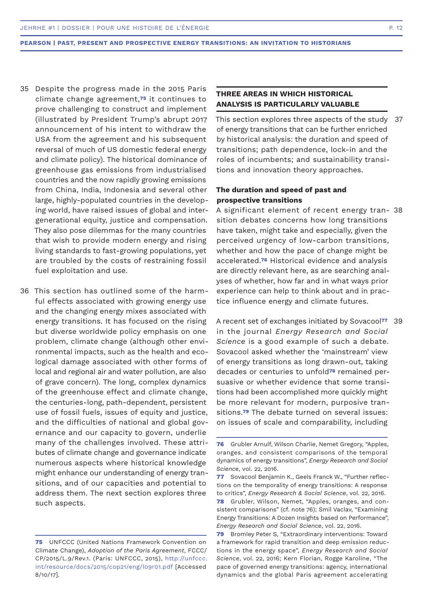- 35 Despite the progress made in the 2015 Paris climate change agreement,**75** it continues to prove challenging to construct and implement (illustrated by President Trump's abrupt 2017 announcement of his intent to withdraw the USA from the agreement and his subsequent reversal of much of US domestic federal energy and climate policy). The historical dominance of greenhouse gas emissions from industrialised countries and the now rapidly growing emissions from China, India, Indonesia and several other large, highly-populated countries in the developing world, have raised issues of global and intergenerational equity, justice and compensation. They also pose dilemmas for the many countries that wish to provide modern energy and rising living standards to fast-growing populations, yet are troubled by the costs of restraining fossil fuel exploitation and use.
- 36 This section has outlined some of the harmful effects associated with growing energy use and the changing energy mixes associated with energy transitions. It has focused on the rising but diverse worldwide policy emphasis on one problem, climate change (although other environmental impacts, such as the health and ecological damage associated with other forms of local and regional air and water pollution, are also of grave concern). The long, complex dynamics of the greenhouse effect and climate change, the centuries-long, path-dependent, persistent use of fossil fuels, issues of equity and justice, and the difficulties of national and global governance and our capacity to govern, underlie many of the challenges involved. These attributes of climate change and governance indicate numerous aspects where historical knowledge might enhance our understanding of energy transitions, and of our capacities and potential to address them. The next section explores three such aspects.

# **THREE AREAS IN WHICH HISTORICAL ANALYSIS IS PARTICULARLY VALUABLE**

This section explores three aspects of the study of energy transitions that can be further enriched by historical analysis: the duration and speed of transitions; path dependence, lock-in and the roles of incumbents; and sustainability transitions and innovation theory approaches. 37

# **The duration and speed of past and prospective transitions**

A significant element of recent energy tran-38 sition debates concerns how long transitions have taken, might take and especially, given the perceived urgency of low-carbon transitions, whether and how the pace of change might be accelerated.**76** Historical evidence and analysis are directly relevant here, as are searching analyses of whether, how far and in what ways prior experience can help to think about and in practice influence energy and climate futures.

A recent set of exchanges initiated by Sovacool**<sup>77</sup>** 39 in the journal *Energy Research and Social Science* is a good example of such a debate. Sovacool asked whether the 'mainstream' view of energy transitions as long drawn-out, taking decades or centuries to unfold**78** remained persuasive or whether evidence that some transitions had been accomplished more quickly might be more relevant for modern, purposive transitions.**79** The debate turned on several issues: on issues of scale and comparability, including

**<sup>75</sup>** UNFCCC (United Nations Framework Convention on Climate Change), *Adoption of the Paris Agreement*, FCCC/ CP/2015/L.9/Rev.1. (Paris: UNFCCC, 2015), http://unfccc. int/resource/docs/2015/cop21/eng/l09r01.pdf [Accessed 8/10/17].

**<sup>76</sup>** Grubler Arnulf, Wilson Charlie, Nemet Gregory, "Apples, oranges, and consistent comparisons of the temporal dynamics of energy transitions", *Energy Research and Social Science*, vol. 22, 2016.

**<sup>77</sup>** Sovacool Benjamin K., Geels Franck W., "Further reflections on the temporality of energy transitions: A response to critics", *Energy Research & Social Science*, vol. 22, 2016.

**<sup>78</sup>** Grubler, Wilson, Nemet, "Apples, oranges, and consistent comparisons" (cf. note 76); Smil Vaclav, "Examining Energy Transitions: A Dozen Insights based on Performance", *Energy Research and Social Science*, vol. 22, 2016.

**<sup>79</sup>** Bromley Peter S, "Extraordinary interventions: Toward a framework for rapid transition and deep emission reductions in the energy space", *Energy Research and Social Science*, vol. 22, 2016; Kern Florian, Rogge Karoline, "The pace of governed energy transitions: agency, international dynamics and the global Paris agreement accelerating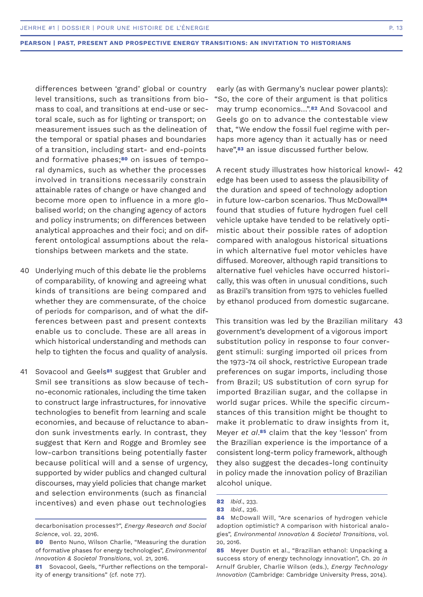differences between 'grand' global or country level transitions, such as transitions from biomass to coal, and transitions at end-use or sectoral scale, such as for lighting or transport; on measurement issues such as the delineation of the temporal or spatial phases and boundaries of a transition, including start- and end-points and formative phases;**80** on issues of temporal dynamics, such as whether the processes involved in transitions necessarily constrain attainable rates of change or have changed and become more open to influence in a more globalised world; on the changing agency of actors and policy instruments; on differences between analytical approaches and their foci; and on different ontological assumptions about the relationships between markets and the state.

- 40 Underlying much of this debate lie the problems of comparability, of knowing and agreeing what kinds of transitions are being compared and whether they are commensurate, of the choice of periods for comparison, and of what the differences between past and present contexts enable us to conclude. These are all areas in which historical understanding and methods can help to tighten the focus and quality of analysis.
- 41 Sovacool and Geels<sup>81</sup> suggest that Grubler and Smil see transitions as slow because of techno-economic rationales, including the time taken to construct large infrastructures, for innovative technologies to benefit from learning and scale economies, and because of reluctance to abandon sunk investments early. In contrast, they suggest that Kern and Rogge and Bromley see low-carbon transitions being potentially faster because political will and a sense of urgency, supported by wider publics and changed cultural discourses, may yield policies that change market and selection environments (such as financial incentives) and even phase out technologies

early (as with Germany's nuclear power plants): "So, the core of their argument is that politics may trump economics…".**82** And Sovacool and Geels go on to advance the contestable view that, "We endow the fossil fuel regime with perhaps more agency than it actually has or need have",**83** an issue discussed further below.

A recent study illustrates how historical knowl-42 edge has been used to assess the plausibility of the duration and speed of technology adoption in future low-carbon scenarios. Thus McDowall**<sup>84</sup>** found that studies of future hydrogen fuel cell vehicle uptake have tended to be relatively optimistic about their possible rates of adoption compared with analogous historical situations in which alternative fuel motor vehicles have diffused. Moreover, although rapid transitions to alternative fuel vehicles have occurred historically, this was often in unusual conditions, such as Brazil's transition from 1975 to vehicles fuelled by ethanol produced from domestic sugarcane.

This transition was led by the Brazilian military 43 government's development of a vigorous import substitution policy in response to four convergent stimuli: surging imported oil prices from the 1973-74 oil shock, restrictive European trade preferences on sugar imports, including those from Brazil; US substitution of corn syrup for imported Brazilian sugar, and the collapse in world sugar prices. While the specific circumstances of this transition might be thought to make it problematic to draw insights from it, Meyer *et al*.**85** claim that the key 'lesson' from the Brazilian experience is the importance of a consistent long-term policy framework, although they also suggest the decades-long continuity in policy made the innovation policy of Brazilian alcohol unique.

decarbonisation processes?", *Energy Research and Social Science*, vol. 22, 2016.

**<sup>80</sup>** Bento Nuno, Wilson Charlie, "Measuring the duration of formative phases for energy technologies", *Environmental Innovation & Societal Transitions*, vol. 21, 2016.

**<sup>81</sup>** Sovacool, Geels, "Further reflections on the temporality of energy transitions" (cf. note 77).

**<sup>82</sup>** *Ibid*., 233.

**<sup>83</sup>** *Ibid*., 236.

**<sup>84</sup>** McDowall Will, "Are scenarios of hydrogen vehicle adoption optimistic? A comparison with historical analogies", *Environmental Innovation & Societal Transitions*, vol. 20, 2016.

**<sup>85</sup>** Meyer Dustin et al., "Brazilian ethanol: Unpacking a success story of energy technology innovation", Ch. 20 *in* Arnulf Grubler, Charlie Wilson (eds.), *Energy Technology Innovation* (Cambridge: Cambridge University Press, 2014).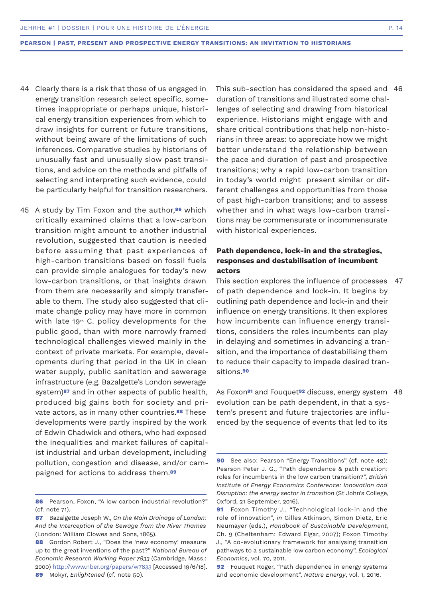- Clearly there is a risk that those of us engaged in 44 energy transition research select specific, sometimes inappropriate or perhaps unique, historical energy transition experiences from which to draw insights for current or future transitions, without being aware of the limitations of such inferences. Comparative studies by historians of unusually fast and unusually slow past transitions, and advice on the methods and pitfalls of selecting and interpreting such evidence, could be particularly helpful for transition researchers.
- A study by Tim Foxon and the author,**86** which 45 critically examined claims that a low-carbon transition might amount to another industrial revolution, suggested that caution is needed before assuming that past experiences of high-carbon transitions based on fossil fuels can provide simple analogues for today's new low-carbon transitions, or that insights drawn from them are necessarily and simply transferable to them. The study also suggested that climate change policy may have more in common with late 19<sup>th</sup> C. policy developments for the public good, than with more narrowly framed technological challenges viewed mainly in the context of private markets. For example, developments during that period in the UK in clean water supply, public sanitation and sewerage infrastructure (e.g. Bazalgette's London sewerage system)**87** and in other aspects of public health, produced big gains both for society and private actors, as in many other countries.**88** These developments were partly inspired by the work of Edwin Chadwick and others, who had exposed the inequalities and market failures of capitalist industrial and urban development, including pollution, congestion and disease, and/or campaigned for actions to address them.**<sup>89</sup>**

This sub-section has considered the speed and 46duration of transitions and illustrated some challenges of selecting and drawing from historical experience. Historians might engage with and share critical contributions that help non-historians in three areas: to appreciate how we might better understand the relationship between the pace and duration of past and prospective transitions; why a rapid low-carbon transition in today's world might present similar or different challenges and opportunities from those of past high-carbon transitions; and to assess whether and in what ways low-carbon transitions may be commensurate or incommensurate with historical experiences.

# **Path dependence, lock-in and the strategies, responses and destabilisation of incumbent actors**

This section explores the influence of processes 47 of path dependence and lock-in. It begins by outlining path dependence and lock-in and their influence on energy transitions. It then explores how incumbents can influence energy transitions, considers the roles incumbents can play in delaying and sometimes in advancing a transition, and the importance of destabilising them to reduce their capacity to impede desired transitions.**<sup>90</sup>**

As Foxon**91** and Fouquet**92** discuss, energy system 48 evolution can be path dependent, in that a system's present and future trajectories are influenced by the sequence of events that led to its

**<sup>86</sup>** Pearson, Foxon, "A low carbon industrial revolution?" (cf. note 71).

**<sup>87</sup>** Bazalgette Joseph W., *On the Main Drainage of London: And the Interception of the Sewage from the River Thames*  (London: William Clowes and Sons, 1865).

**<sup>88</sup>** Gordon Robert J., "Does the 'new economy' measure up to the great inventions of the past?" *National Bureau of Economic Research Working Paper 7833* (Cambridge, Mass.: 2000) http://www.nber.org/papers/w7833 [Accessed 19/6/18]. **89** Mokyr, *Enlightened* (cf. note 50).

**<sup>90</sup>** See also: Pearson "Energy Transitions" (cf. note 49); Pearson Peter J. G., "Path dependence & path creation: roles for incumbents in the low carbon transition?", *British Institute of Energy Economics Conference: Innovation and Disruption: the energy sector in transition* (St John's College, Oxford, 21 September, 2016).

**<sup>91</sup>** Foxon Timothy J., "Technological lock-in and the role of innovation", *in* Gilles Atkinson, Simon Dietz, Eric Neumayer (eds.), *Handbook of Sustainable Development*, Ch. 9 (Cheltenham: Edward Elgar, 2007); Foxon Timothy J., "A co-evolutionary framework for analysing transition pathways to a sustainable low carbon economy", *Ecological Economics*, vol. 70, 2011.

**<sup>92</sup>** Fouquet Roger, "Path dependence in energy systems and economic development", *Nature Energy*, vol. 1, 2016.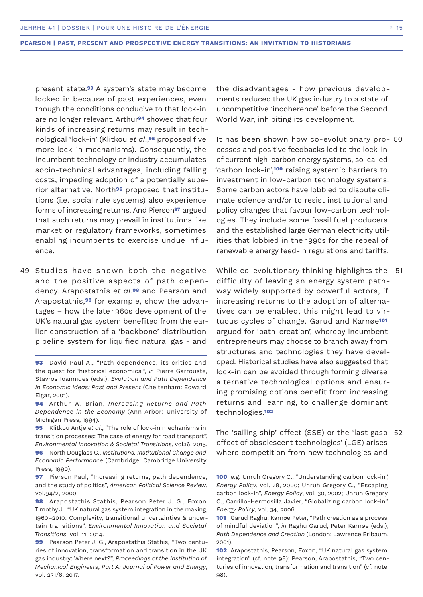present state.**93** A system's state may become locked in because of past experiences, even though the conditions conducive to that lock-in are no longer relevant. Arthur**94** showed that four kinds of increasing returns may result in technological 'lock-in' (Klitkou *et al*.,**95** proposed five more lock-in mechanisms). Consequently, the incumbent technology or industry accumulates socio-technical advantages, including falling costs, impeding adoption of a potentially superior alternative. North**96** proposed that institutions (i.e. social rule systems) also experience forms of increasing returns. And Pierson**97** argued that such returns may prevail in institutions like market or regulatory frameworks, sometimes enabling incumbents to exercise undue influence.

49 Studies have shown both the negative and the positive aspects of path dependency. Arapostathis *et al.***98** and Pearson and Arapostathis,**99** for example, show the advantages – how the late 1960s development of the UK's natural gas system benefited from the earlier construction of a 'backbone' distribution pipeline system for liquified natural gas - and

**95** Klitkou Antje *et al*., "The role of lock-in mechanisms in transition processes: The case of energy for road transport", *Environmental Innovation & Societal Transitions*, vol.16, 2015. **96** North Douglass C., *Institutions, Institutional Change and Economic Performance* (Cambridge: Cambridge University Press, 1990).

the disadvantages - how previous developments reduced the UK gas industry to a state of uncompetitive 'incoherence' before the Second World War, inhibiting its development.

It has been shown how co-evolutionary pro-50 cesses and positive feedbacks led to the lock-in of current high-carbon energy systems, so-called 'carbon lock-in',**100** raising systemic barriers to investment in low-carbon technology systems. Some carbon actors have lobbied to dispute climate science and/or to resist institutional and policy changes that favour low-carbon technologies. They include some fossil fuel producers and the established large German electricity utilities that lobbied in the 1990s for the repeal of renewable energy feed-in regulations and tariffs.

While co-evolutionary thinking highlights the difficulty of leaving an energy system pathway widely supported by powerful actors, if increasing returns to the adoption of alternatives can be enabled, this might lead to virtuous cycles of change. Garud and Karnøe**<sup>101</sup>** argued for 'path-creation', whereby incumbent entrepreneurs may choose to branch away from structures and technologies they have developed. Historical studies have also suggested that lock-in can be avoided through forming diverse alternative technological options and ensuring promising options benefit from increasing returns and learning, to challenge dominant technologies.**<sup>102</sup>** 51

The 'sailing ship' effect (SSE) or the 'last gasp 52effect of obsolescent technologies' (LGE) arises where competition from new technologies and

**<sup>93</sup>** David Paul A., "Path dependence, its critics and the quest for 'historical economics'", *in* Pierre Garrouste, Stavros Ioannides (eds.), *Evolution and Path Dependence in Economic Ideas: Past and Present* (Cheltenham: Edward Elgar, 2001).

**<sup>94</sup>** Arthur W. Brian, *Increasing Returns and Path Dependence in the Economy* (Ann Arbor: University of Michigan Press, 1994).

**<sup>97</sup>** Pierson Paul, "Increasing returns, path dependence, and the study of politics", *American Political Science Review*, vol.94/2, 2000.

**<sup>98</sup>** Arapostathis Stathis, Pearson Peter J. G., Foxon Timothy J., "UK natural gas system integration in the making, 1960–2010: Complexity, transitional uncertainties & uncertain transitions", *Environmental Innovation and Societal Transitions*, vol. 11, 2014.

**<sup>99</sup>** Pearson Peter J. G., Arapostathis Stathis, "Two centuries of innovation, transformation and transition in the UK gas industry: Where next?", *Proceedings of the Institution of Mechanical Engineers*, *Part A: Journal of Power and Energy*, vol. 231/6, 2017.

**<sup>100</sup>** e.g. Unruh Gregory C., "Understanding carbon lock-in", *Energy Policy*, vol. 28, 2000; Unruh Gregory C., "Escaping carbon lock-in", *Energy Policy*, vol. 30, 2002; Unruh Gregory C., Carrillo-Hermosilla Javier, "Globalizing carbon lock-in", *Energy Policy*, vol. 34, 2006.

**<sup>101</sup>** Garud Raghu, Karnøe Peter, "Path creation as a process of mindful deviation", *in* Raghu Garud, Peter Karnøe (eds.), *Path Dependence and Creation* (London: Lawrence Erlbaum, 2001).

**<sup>102</sup>** Arapostathis, Pearson, Foxon, "UK natural gas system integration" (cf. note 98); Pearson, Arapostathis, "Two centuries of innovation, transformation and transition" (cf. note 98).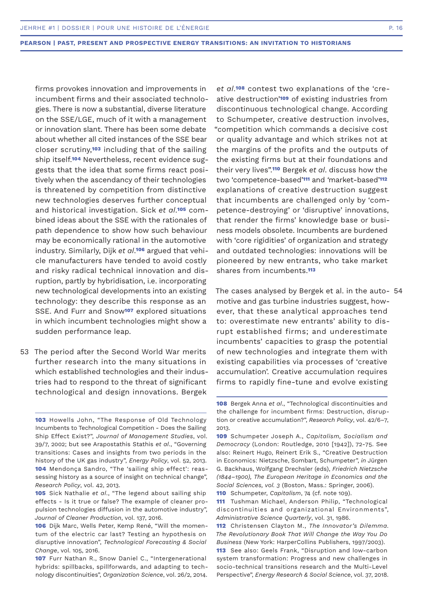firms provokes innovation and improvements in incumbent firms and their associated technologies. There is now a substantial, diverse literature on the SSE/LGE, much of it with a management or innovation slant. There has been some debate about whether all cited instances of the SSE bear closer scrutiny,**103** including that of the sailing ship itself.**104** Nevertheless, recent evidence suggests that the idea that some firms react positively when the ascendancy of their technologies is threatened by competition from distinctive new technologies deserves further conceptual and historical investigation. Sick *et al*.**105** combined ideas about the SSE with the rationales of path dependence to show how such behaviour may be economically rational in the automotive industry. Similarly, Dijk *et al*.**106** argued that vehicle manufacturers have tended to avoid costly and risky radical technical innovation and disruption, partly by hybridisation, i.e. incorporating new technological developments into an existing technology: they describe this response as an SSE. And Furr and Snow**107** explored situations in which incumbent technologies might show a sudden performance leap.

53 The period after the Second World War merits further research into the many situations in which established technologies and their industries had to respond to the threat of significant technological and design innovations. Bergek

*et al*.**108** contest two explanations of the 'creative destruction'**109** of existing industries from discontinuous technological change. According to Schumpeter, creative destruction involves, "competition which commands a decisive cost or quality advantage and which strikes not at the margins of the profits and the outputs of the existing firms but at their foundations and their very lives".**110** Bergek *et al*. discuss how the two 'competence-based'**111** and *'*market-based'**<sup>112</sup>** explanations of creative destruction suggest that incumbents are challenged only by 'competence-destroying' or 'disruptive' innovations, that render the firms' knowledge base or business models obsolete. Incumbents are burdened with 'core rigidities' of organization and strategy and outdated technologies: innovations will be pioneered by new entrants, who take market shares from incumbents.**<sup>113</sup>**

The cases analysed by Bergek et al. in the auto-54motive and gas turbine industries suggest, however, that these analytical approaches tend to: overestimate new entrants' ability to disrupt established firms; and underestimate incumbents' capacities to grasp the potential of new technologies and integrate them with existing capabilities via processes of 'creative accumulation'. Creative accumulation requires firms to rapidly fine-tune and evolve existing

**<sup>103</sup>** Howells John, "The Response of Old Technology Incumbents to Technological Competition - Does the Sailing Ship Effect Exist?", *Journal of Management Studies*, vol. 39/7, 2002; but see Arapostathis Stathis *et al*., "Governing transitions: Cases and insights from two periods in the history of the UK gas industry", *Energy Policy*, vol. 52, 2013. **104** Mendonça Sandro, "The 'sailing ship effect': reassessing history as a source of insight on technical change", *Research Policy*, vol. 42, 2013.

**<sup>105</sup>** Sick Nathalie *et al*., "The legend about sailing ship effects - Is it true or false? The example of cleaner propulsion technologies diffusion in the automotive industry", *Journal of Cleaner Production*, vol. 137, 2016.

**<sup>106</sup>** Dijk Marc, Wells Peter, Kemp René, "Will the momentum of the electric car last? Testing an hypothesis on disruptive innovation", *Technological Forecasting & Social Change*, vol. 105, 2016.

**<sup>107</sup>** Furr Nathan R., Snow Daniel C., "Intergenerational hybrids: spillbacks, spillforwards, and adapting to technology discontinuities", *Organization Science*, vol. 26/2, 2014.

**<sup>108</sup>** Bergek Anna *et al*., "Technological discontinuities and the challenge for incumbent firms: Destruction, disruption or creative accumulation?", *Research Policy*, vol. 42/6–7, 2013.

**<sup>109</sup>** Schumpeter Joseph A., *Capitalism, Socialism and Democracy* (London: Routledge, 2010 [1942]), 72-75. See also: Reinert Hugo, Reinert Erik S., "Creative Destruction in Economics: Nietzsche, Sombart, Schumpeter", *in* Jürgen G. Backhaus, Wolfgang Drechsler (eds), *Friedrich Nietzsche (1844–1900), The European Heritage in Economics and the Social Sciences, vol. 3* (Boston, Mass.: Springer, 2006).

**<sup>110</sup>** Schumpeter, *Capitalism*, 74 (cf. note 109).

**<sup>111</sup>** Tushman Michael, Anderson Philip, "Technological discontinuities and organizational Environments", *Administrative Science Quarterly*, vol. 31, 1986.

**<sup>112</sup>** Christensen Clayton M., *The Innovator's Dilemma. The Revolutionary Book That Will Change the Way You Do Business* (New York: HarperCollins Publishers, 1997/2003).

**<sup>113</sup>** See also: Geels Frank, "Disruption and low-carbon system transformation: Progress and new challenges in socio-technical transitions research and the Multi-Level Perspective", *Energy Research & Social Science*, vol. 37, 2018.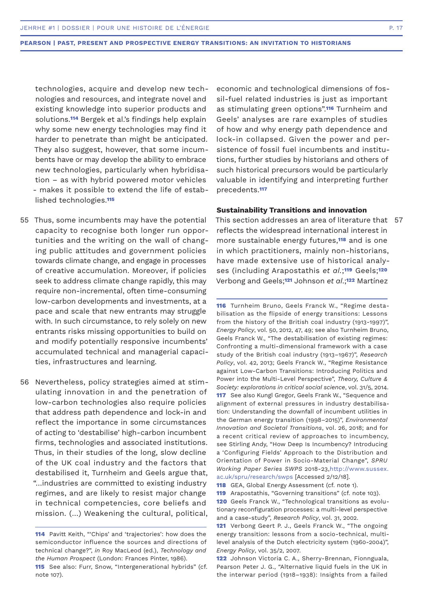technologies, acquire and develop new technologies and resources, and integrate novel and existing knowledge into superior products and solutions.**114** Bergek et al.'s findings help explain why some new energy technologies may find it harder to penetrate than might be anticipated. They also suggest, however, that some incumbents have or may develop the ability to embrace new technologies, particularly when hybridisation – as with hybrid powered motor vehicles - makes it possible to extend the life of established technologies.**<sup>115</sup>**

- 55 Thus, some incumbents may have the potential capacity to recognise both longer run opportunities and the writing on the wall of changing public attitudes and government policies towards climate change, and engage in processes of creative accumulation. Moreover, if policies seek to address climate change rapidly, this may require non-incremental, often time-consuming low-carbon developments and investments, at a pace and scale that new entrants may struggle with. In such circumstance, to rely solely on new entrants risks missing opportunities to build on and modify potentially responsive incumbents' accumulated technical and managerial capacities, infrastructures and learning.
- 56 Nevertheless, policy strategies aimed at stimulating innovation in and the penetration of low-carbon technologies also require policies that address path dependence and lock-in and reflect the importance in some circumstances of acting to 'destabilise' high-carbon incumbent firms, technologies and associated institutions. Thus, in their studies of the long, slow decline of the UK coal industry and the factors that destabilised it, Turnheim and Geels argue that, "…industries are committed to existing industry regimes, and are likely to resist major change in technical competencies, core beliefs and mission. (…) Weakening the cultural, political,

economic and technological dimensions of fossil-fuel related industries is just as important as stimulating green options".**116** Turnheim and Geels' analyses are rare examples of studies of how and why energy path dependence and lock-in collapsed. Given the power and persistence of fossil fuel incumbents and institutions, further studies by historians and others of such historical precursors would be particularly valuable in identifying and interpreting further precedents.**<sup>117</sup>**

# **Sustainability Transitions and innovation**

This section addresses an area of literature that 57reflects the widespread international interest in more sustainable energy futures,**118** and is one in which practitioners, mainly non-historians, have made extensive use of historical analyses (including Arapostathis *et al.*;**119** Geels;**<sup>120</sup>** Verbong and Geels;**121** Johnson *et al*.;**122** Martínez

**116** Turnheim Bruno, Geels Franck W., "Regime destabilisation as the flipside of energy transitions: Lessons from the history of the British coal industry (1913-1997)", *Energy Policy*, vol. 50, 2012, 47, 49; see also Turnheim Bruno, Geels Franck W., "The destabilisation of existing regimes: Confronting a multi-dimensional framework with a case study of the British coal industry (1913–1967)", *Research Policy*, vol. 42, 2013; Geels Franck W., "Regime Resistance against Low-Carbon Transitions: Introducing Politics and Power into the Multi-Level Perspective", *Theory, Culture & Society: explorations in critical social science*, vol. 31/5, 2014. **117** See also Kungl Gregor, Geels Frank W., "Sequence and alignment of external pressures in industry destabilisation: Understanding the downfall of incumbent utilities in the German energy transition (1998–2015)", *Environmental Innovation and Societal Transitions*, vol. 26, 2018; and for a recent critical review of approaches to incumbency, see Stirling Andy, "How Deep Is Incumbency? Introducing a 'Configuring Fields' Approach to the Distribution and Orientation of Power in Socio-Material Change", *SPRU Working Paper Series SWPS* 2018-23,http://www.sussex. ac.uk/spru/research/swps [Accessed 2/12/18].

**118** GEA, Global Energy Assessment (cf. note 1).

**122** Johnson Victoria C. A., Sherry-Brennan, Fionnguala, Pearson Peter J. G., "Alternative liquid fuels in the UK in the interwar period (1918–1938): Insights from a failed

**<sup>114</sup>** Pavitt Keith, "'Chips' and 'trajectories': how does the semiconductor influence the sources and directions of technical change?", *in* Roy MacLeod (ed.), *Technology and the Human Prospect* (London: Frances Pinter, 1986).

**<sup>115</sup>** See also: Furr, Snow, "Intergenerational hybrids" (cf. note 107).

**<sup>119</sup>** Arapostathis, "Governing transitions" (cf. note 103). **120** Geels Franck W., "Technological transitions as evolu-

tionary reconfiguration processes: a multi-level perspective and a case-study", *Research Policy*, vol. 31, 2002.

**<sup>121</sup>** Verbong Geert P. J., Geels Franck W., "The ongoing energy transition: lessons from a socio-technical, multilevel analysis of the Dutch electricity system (1960-2004)", *Energy Policy*, vol. 35/2, 2007.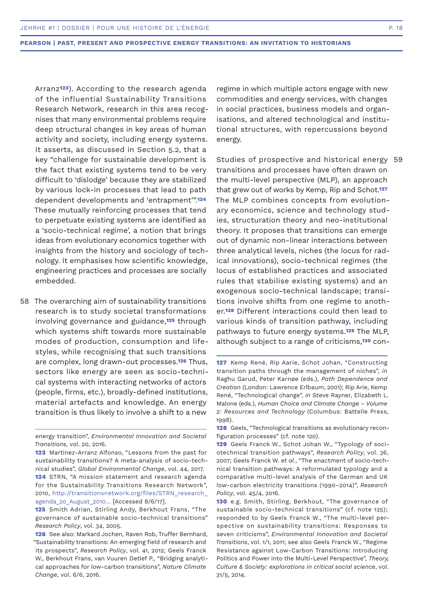Arranz**123**). According to the research agenda of the influential Sustainability Transitions Research Network, research in this area recognises that many environmental problems require deep structural changes in key areas of human activity and society, including energy systems. It asserts, as discussed in Section 5.2, that a key "challenge for sustainable development is the fact that existing systems tend to be very difficult to 'dislodge' because they are stabilized by various lock-in processes that lead to path dependent developments and 'entrapment'".**<sup>124</sup>** These mutually reinforcing processes that tend to perpetuate existing systems are identified as a 'socio-technical regime', a notion that brings ideas from evolutionary economics together with insights from the history and sociology of technology. It emphasises how scientific knowledge, engineering practices and processes are socially embedded.

58 The overarching aim of sustainability transitions research is to study societal transformations involving governance and guidance,**125** through which systems shift towards more sustainable modes of production, consumption and lifestyles, while recognising that such transitions are complex, long drawn-out processes.**126** Thus, sectors like energy are seen as socio-technical systems with interacting networks of actors (people, firms, etc.), broadly-defined institutions, material artefacts and knowledge. An energy transition is thus likely to involve a shift to a new

**123** Martínez-Arranz Alfonso, "Lessons from the past for sustainability transitions? A meta-analysis of socio-technical studies", *Global Environmental Change*, vol. 44, 2017. **124** STRN, "A mission statement and research agenda

for the Sustainability Transitions Research Network", 2010, http://transitionsnetwork.org/files/STRN\_research\_ agenda 20 August 2010... [Accessed 8/6/17].

regime in which multiple actors engage with new commodities and energy services, with changes in social practices, business models and organisations, and altered technological and institutional structures, with repercussions beyond energy.

Studies of prospective and historical energy 59 transitions and processes have often drawn on the multi-level perspective (MLP), an approach that grew out of works by Kemp, Rip and Schot.**<sup>127</sup>** The MLP combines concepts from evolutionary economics, science and technology studies, structuration theory and neo-institutional theory. It proposes that transitions can emerge out of dynamic non-linear interactions between three analytical levels, niches (the locus for radical innovations), socio-technical regimes (the locus of established practices and associated rules that stabilise existing systems) and an exogenous socio-technical landscape; transitions involve shifts from one regime to another.**128** Different interactions could then lead to various kinds of transition pathway, including pathways to future energy systems.**129** The MLP, although subject to a range of criticisms,**130** con-

energy transition", *Environmental Innovation and Societal Transitions*, vol. 20, 2016.

**<sup>125</sup>** Smith Adrian, Stirling Andy, Berkhout Frans, "The governance of sustainable socio-technical transitions" *Research Policy*, vol. 34, 2005.

**<sup>126</sup>** See also: Markard Jochen, Raven Rob, Truffer Bernhard, "Sustainability transitions: An emerging field of research and its prospects", *Research Policy*, vol. 41, 2012; Geels Franck W., Berkhout Frans, van Vuuren Detlef P., "Bridging analytical approaches for low-carbon transitions", *Nature Climate Change*, vol. 6/6, 2016.

**<sup>127</sup>** Kemp René, Rip Aarie, Schot Johan, "Constructing transition paths through the management of niches", *in* Raghu Garud, Peter Karnøe (eds.), *Path Dependence and Creation* (London: Lawrence Erlbaum, 2001); Rip Arie, Kemp René, "Technological change", *in* Steve Rayner, Elizabeth L. Malone (eds.), *Human Choice and Climate Change – Volume 2: Resources and Technology* (Columbus: Battelle Press, 1998).

**<sup>128</sup>** Geels, "Technological transitions as evolutionary reconfiguration processes" (cf. note 120).

**<sup>129</sup>** Geels Franck W., Schot Johan W., "Typology of sociotechnical transition pathways", *Research Policy*, vol. 36, 2007; Geels Franck W. *et al.*, "The enactment of socio-technical transition pathways: A reformulated typology and a comparative multi-level analysis of the German and UK low-carbon electricity transitions (1990–2014)", *Research Policy*, vol. 45/4, 2016.

**<sup>130</sup>** e.g. Smith, Stirling, Berkhout, "The governance of sustainable socio-technical transitions" (cf. note 125); responded to by Geels Franck W., "The multi-level perspective on sustainability transitions: Responses to seven criticisms", *Environmental Innovation and Societal Transitions*, vol. 1/1, 2011; see also Geels Franck W., "Regime Resistance against Low-Carbon Transitions: Introducing Politics and Power into the Multi-Level Perspective", *Theory, Culture & Society: explorations in critical social science*, vol. 31/5, 2014.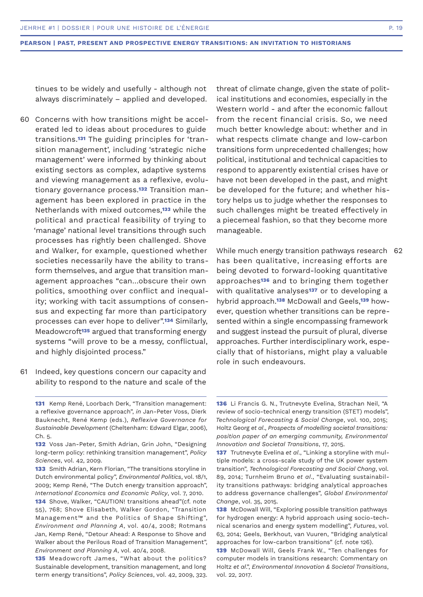tinues to be widely and usefully - although not always discriminately – applied and developed.

- 60 Concerns with how transitions might be accelerated led to ideas about procedures to guide transitions.**131** The guiding principles for 'transition management', including 'strategic niche management' were informed by thinking about existing sectors as complex, adaptive systems and viewing management as a reflexive, evolutionary governance process.**132** Transition management has been explored in practice in the Netherlands with mixed outcomes,**133** while the political and practical feasibility of trying to 'manage' national level transitions through such processes has rightly been challenged. Shove and Walker, for example, questioned whether societies necessarily have the ability to transform themselves, and argue that transition management approaches "can…obscure their own politics, smoothing over conflict and inequality; working with tacit assumptions of consensus and expecting far more than participatory processes can ever hope to deliver".**134** Similarly, Meadowcroft**135** argued that transforming energy systems "will prove to be a messy, conflictual, and highly disjointed process."
- 61 Indeed, key questions concern our capacity and ability to respond to the nature and scale of the

**134** Shove, Walker, "CAUTION! transitions ahead"(cf. note 55), 768; Shove Elisabeth, Walker Gordon, "Transition Management™ and the Politics of Shape Shifting", *Environment and Planning A*, vol. 40/4, 2008; Rotmans Jan, Kemp René, "Detour Ahead: A Response to Shove and Walker about the Perilous Road of Transition Management", *Environment and Planning A*, vol. 40/4, 2008.

threat of climate change, given the state of political institutions and economies, especially in the Western world - and after the economic fallout from the recent financial crisis. So, we need much better knowledge about: whether and in what respects climate change and low-carbon transitions form unprecedented challenges; how political, institutional and technical capacities to respond to apparently existential crises have or have not been developed in the past, and might be developed for the future; and whether history helps us to judge whether the responses to such challenges might be treated effectively in a piecemeal fashion, so that they become more manageable.

While much energy transition pathways research 62 has been qualitative, increasing efforts are being devoted to forward-looking quantitative approaches**136** and to bringing them together with qualitative analyses**137** or to developing a hybrid approach.**138** McDowall and Geels,**139** however, question whether transitions can be represented within a single encompassing framework and suggest instead the pursuit of plural, diverse approaches. Further interdisciplinary work, especially that of historians, might play a valuable role in such endeavours.

**136** Li Francis G. N., Trutnevyte Evelina, Strachan Neil, "A review of socio-technical energy transition (STET) models", *Technological Forecasting & Social Change*, vol. 100, 2015; Holtz Georg *et al*., *Prospects of modelling societal transitions: position paper of an emerging community, Environmental Innovation and Societal Transitions*, 17, 2015.

**137** Trutnevyte Evelina *et al*., "Linking a storyline with multiple models: a cross-scale study of the UK power system transition", *Technological Forecasting and Social Chang*, vol. 89, 2014; Turnheim Bruno *et al*., "Evaluating sustainability transitions pathways: bridging analytical approaches to address governance challenges", *Global Environmental Change*, vol. 35, 2015.

**138** McDowall Will, "Exploring possible transition pathways for hydrogen energy: A hybrid approach using socio-technical scenarios and energy system modelling", *Futures*, vol. 63, 2014; Geels, Berkhout, van Vuuren, "Bridging analytical approaches for low-carbon transitions" (cf. note 126).

**139** McDowall Will, Geels Frank W., "Ten challenges for computer models in transitions research: Commentary on Holtz *et al*.", *Environmental Innovation & Societal Transitions*, vol. 22, 2017.

**<sup>131</sup>** Kemp René, Loorbach Derk, "Transition management: a reflexive governance approach", *in* Jan-Peter Voss, Dierk Bauknecht, René Kemp (eds.), *Reflexive Governance for Sustainable Development* (Cheltenham: Edward Elgar, 2006), Ch. 5.

**<sup>132</sup>** Voss Jan-Peter, Smith Adrian, Grin John, "Designing long-term policy: rethinking transition management", *Policy Sciences*, vol. 42, 2009.

**<sup>133</sup>** Smith Adrian, Kern Florian, "The transitions storyline in Dutch environmental policy", *Environmental Politics*, vol. 18/1, 2009; Kemp René, "The Dutch energy transition approach", *International Economics and Economic Policy*, vol. 7, 2010.

**<sup>135</sup>** Meadowcroft James, "What about the politics? Sustainable development, transition management, and long term energy transitions", *Policy Sciences*, vol. 42, 2009, 323.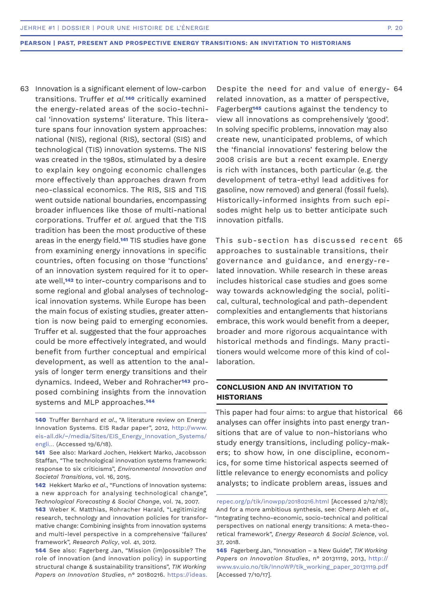- 63 Innovation is a significant element of low-carbon Despite the need for and value of energy- 64  $\,$ transitions. Truffer *et al.***140** critically examined the energy-related areas of the socio‐technical 'innovation systems' literature. This literature spans four innovation system approaches: national (NIS), regional (RIS), sectoral (SIS) and technological (TIS) innovation systems. The NIS was created in the 1980s, stimulated by a desire to explain key ongoing economic challenges more effectively than approaches drawn from neo‐classical economics. The RIS, SIS and TIS went outside national boundaries, encompassing broader influences like those of multi-national corporations. Truffer *et al.* argued that the TIS tradition has been the most productive of these areas in the energy field.**141** TIS studies have gone from examining energy innovations in specific countries, often focusing on those 'functions' of an innovation system required for it to operate well,**142** to inter-country comparisons and to some regional and global analyses of technological innovation systems. While Europe has been the main focus of existing studies, greater attention is now being paid to emerging economies. Truffer et al. suggested that the four approaches could be more effectively integrated, and would benefit from further conceptual and empirical development, as well as attention to the analysis of longer term energy transitions and their dynamics. Indeed, Weber and Rohracher**143** proposed combining insights from the innovation systems and MLP approaches.**<sup>144</sup>**
	- **140** Truffer Bernhard *et al*., "A literature review on Energy Innovation Systems. EIS Radar paper", 2012, http://www. eis-all.dk/~/media/Sites/EIS\_Energy\_Innovation\_Systems/ engli… (Accessed 19/6/18).
	- **141** See also: Markard Jochen, Hekkert Marko, Jacobsson Staffan, "The technological innovation systems framework: response to six criticisms", *Environmental Innovation and Societal Transitions*, vol. 16, 2015.
	- **142** Hekkert Marko *et al*., "Functions of Innovation systems: a new approach for analysing technological change", *Technological Forecasting & Social Change*, vol. 74, 2007.
	- **143** Weber K. Matthias, Rohracher Harald, "Legitimizing research, technology and innovation policies for transformative change: Combining insights from innovation systems and multi-level perspective in a comprehensive 'failures' framework", *Research Policy*, vol. 41, 2012.

**144** See also: Fagerberg Jan, "Mission (im)possible? The role of innovation (and innovation policy) in supporting structural change & sustainability transitions", *TIK Working Papers on Innovation Studies*, n° 20180216. https://ideas.

Despite the need for and value of energyrelated innovation, as a matter of perspective, Fagerberg**145** cautions against the tendency to view all innovations as comprehensively 'good'. In solving specific problems, innovation may also create new, unanticipated problems, of which the 'financial innovations' festering below the 2008 crisis are but a recent example. Energy is rich with instances, both particular (e.g. the development of tetra-ethyl lead additives for gasoline, now removed) and general (fossil fuels). Historically-informed insights from such episodes might help us to better anticipate such innovation pitfalls.

This sub-section has discussed recent 65 approaches to sustainable transitions, their governance and guidance, and energy-related innovation. While research in these areas includes historical case studies and goes some way towards acknowledging the social, political, cultural, technological and path-dependent complexities and entanglements that historians embrace, this work would benefit from a deeper, broader and more rigorous acquaintance with historical methods and findings. Many practitioners would welcome more of this kind of collaboration.

# **CONCLUSION AND AN INVITATION TO HISTORIANS**

This paper had four aims: to argue that historical 66analyses can offer insights into past energy transitions that are of value to non-historians who study energy transitions, including policy-makers; to show how, in one discipline, economics, for some time historical aspects seemed of little relevance to energy economists and policy analysts; to indicate problem areas, issues and

repec.org/p/tik/inowpp/20180216.html [Accessed 2/12/18); And for a more ambitious synthesis, see: Cherp Aleh *et al*., "Integrating techno-economic, socio-technical and political perspectives on national energy transitions: A meta-theoretical framework", *Energy Research & Social Science*, vol. 37, 2018.

**<sup>145</sup>** Fagerberg Jan, "Innovation – a New Guide", *TIK Working Papers on Innovation Studies*, n° 20131119, 2013, http:// www.sv.uio.no/tik/InnoWP/tik\_working\_paper\_20131119.pdf [Accessed 7/10/17].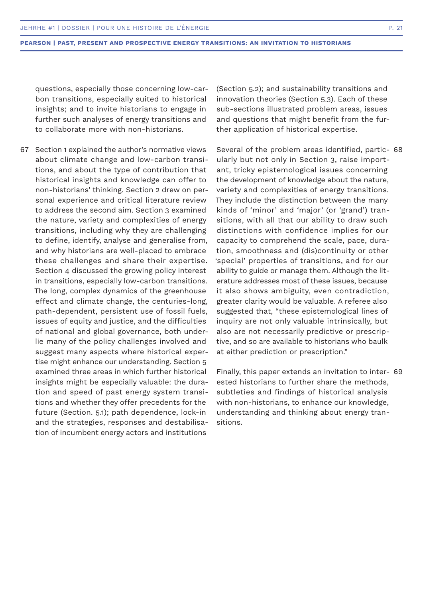questions, especially those concerning low-carbon transitions, especially suited to historical insights; and to invite historians to engage in further such analyses of energy transitions and to collaborate more with non-historians.

67 Section 1 explained the author's normative views about climate change and low-carbon transitions, and about the type of contribution that historical insights and knowledge can offer to non-historians' thinking. Section 2 drew on personal experience and critical literature review to address the second aim. Section 3 examined the nature, variety and complexities of energy transitions, including why they are challenging to define, identify, analyse and generalise from, and why historians are well-placed to embrace these challenges and share their expertise. Section 4 discussed the growing policy interest in transitions, especially low-carbon transitions. The long, complex dynamics of the greenhouse effect and climate change, the centuries-long, path-dependent, persistent use of fossil fuels, issues of equity and justice, and the difficulties of national and global governance, both underlie many of the policy challenges involved and suggest many aspects where historical expertise might enhance our understanding. Section 5 examined three areas in which further historical insights might be especially valuable: the duration and speed of past energy system transitions and whether they offer precedents for the future (Section. 5.1); path dependence, lock-in and the strategies, responses and destabilisation of incumbent energy actors and institutions

(Section 5.2); and sustainability transitions and innovation theories (Section 5.3). Each of these sub-sections illustrated problem areas, issues and questions that might benefit from the further application of historical expertise.

Several of the problem areas identified, partic-68 ularly but not only in Section 3, raise important, tricky epistemological issues concerning the development of knowledge about the nature, variety and complexities of energy transitions. They include the distinction between the many kinds of 'minor' and 'major' (or 'grand') transitions, with all that our ability to draw such distinctions with confidence implies for our capacity to comprehend the scale, pace, duration, smoothness and (dis)continuity or other 'special' properties of transitions, and for our ability to guide or manage them. Although the literature addresses most of these issues, because it also shows ambiguity, even contradiction, greater clarity would be valuable. A referee also suggested that, "these epistemological lines of inquiry are not only valuable intrinsically, but also are not necessarily predictive or prescriptive, and so are available to historians who baulk at either prediction or prescription."

Finally, this paper extends an invitation to inter-69 ested historians to further share the methods, subtleties and findings of historical analysis with non-historians, to enhance our knowledge, understanding and thinking about energy transitions.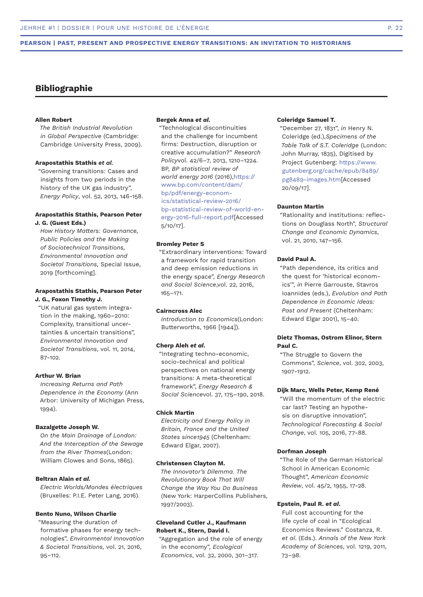# **Bibliographie**

# **Allen Robert**

*The British Industrial Revolution in Global Perspective* (Cambridge: Cambridge University Press, 2009).

#### **Arapostathis Stathis** *et al.*

"Governing transitions: Cases and insights from two periods in the history of the UK gas industry", *Energy Policy*, vol. 52, 2013, 146-158.

# **Arapostathis Stathis, Pearson Peter J. G. (Guest Eds.)**

*How History Matters: Governance, Public Policies and the Making of Sociotechnical Transitions, Environmental Innovation and Societal Transitions,* Special Issue, 2019 [forthcoming].

# **Arapostathis Stathis, Pearson Peter J. G., Foxon Timothy J.**

"UK natural gas system integration in the making, 1960–2010: Complexity, transitional uncertainties & uncertain transitions", *Environmental Innovation and Societal Transitions*, vol. 11, 2014, 87-102.

# **Arthur W. Brian**

*Increasing Returns and Path Dependence in the Economy* (Ann Arbor: University of Michigan Press, 1994).

#### **Bazalgette Joseph W.**

*On the Main Drainage of London: And the Interception of the Sewage from the River Thames*(London: William Clowes and Sons, 1865).

# **Beltran Alain** *et al.*

*Electric Worlds/Mondes électriques*  (Bruxelles: P.I.E. Peter Lang, 2016).

#### **Bento Nuno, Wilson Charlie**

"Measuring the duration of formative phases for energy technologies", *Environmental Innovation & Societal Transitions*, vol. 21, 2016, 95–112.

# **Bergek Anna** *et al.*

"Technological discontinuities and the challenge for incumbent firms: Destruction, disruption or creative accumulation?" *Research Policy*vol. 42/6–7, 2013, 1210–1224. BP, *BP statistical review of world energy 2016* (2016),https:// www.bp.com/content/dam/ bp/pdf/energy-economics/statistical-review-2016/ bp-statistical-review-of-world-energy-2016-full-report.pdf[Accessed 5/10/17].

# **Bromley Peter S**

"Extraordinary interventions: Toward a framework for rapid transition and deep emission reductions in the energy space", *Energy Research and Social Science*,vol. 22, 2016, 165–171.

# **Cairncross Alec**

*Introduction to Economics*(London: Butterworths, 1966 [1944]).

#### **Cherp Aleh** *et al***.**

"Integrating techno-economic, socio-technical and political perspectives on national energy transitions: A meta-theoretical framework", *Energy Research & Social Science*vol. 37, 175–190, 2018.

#### **Chick Martin**

*Electricity and Energy Policy in Britain, France and the United States since1945* (Cheltenham: Edward Elgar, 2007).

#### **Christensen Clayton M.**

*The Innovator's Dilemma. The Revolutionary Book That Will Change the Way You Do Business*  (New York: HarperCollins Publishers, 1997/2003).

## **Cleveland Cutler J., Kaufmann Robert K., Stern, David I.**

"Aggregation and the role of energy in the economy", *Ecological Economics*, vol. 32, 2000, 301–317.

# **Coleridge Samuel T.**

"December 27, 1831", *in* Henry N. Coleridge (ed.),*Specimens of the Table Talk of S.T. Coleridge* (London: John Murray, 1835), Digitised by Project Gutenberg: https://www. gutenberg.org/cache/epub/8489/ pg8489-images.htm[Accessed 20/09/17].

#### **Daunton Martin**

"Rationality and institutions: reflections on Douglass North", *Structural Change and Economic Dynamics*, vol. 21, 2010, 147–156.

# **David Paul A.**

"Path dependence, its critics and the quest for 'historical economics'", *in* Pierre Garrouste, Stavros Ioannides (eds.), *Evolution and Path Dependence in Economic Ideas: Past and Present* (Cheltenham: Edward Elgar 2001), 15–40.

# **Dietz Thomas, Ostrom Elinor, Stern Paul C.**

"The Struggle to Govern the Commons", *Science*, vol. 302, 2003, 1907-1912.

#### **Dijk Marc, Wells Peter, Kemp René**

"Will the momentum of the electric car last? Testing an hypothesis on disruptive innovation", *Technological Forecasting & Social Change*, vol. 105, 2016, 77-88.

# **Dorfman Joseph**

"The Role of the German Historical School in American Economic Thought", *American Economic Review*, vol. 45/2, 1955, 17-28.

#### **Epstein, Paul R.** *et al***.**

Full cost accounting for the life cycle of coal in "Ecological Economics Reviews." Costanza, R. *et al*. (Eds.). *Annals of the New York Academy of Sciences*, vol. 1219, 2011, 73–98.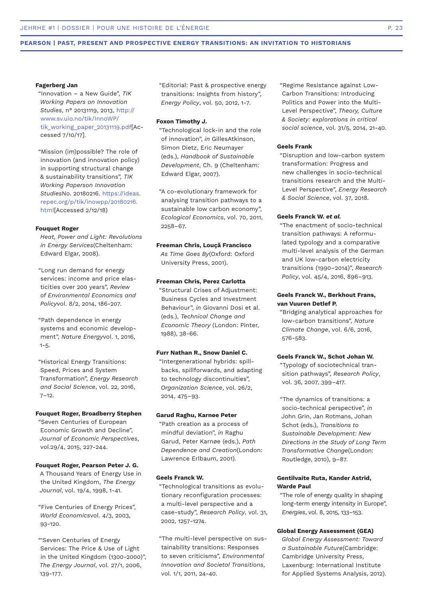#### **Fagerberg Jan**

"Innovation – a New Guide", *TIK Working Papers on Innovation Studies*, n° 20131119, 2013, http:// www.sv.uio.no/tik/InnoWP/ tik\_working\_paper\_20131119.pdf[Accessed 7/10/17].

"Mission (im)possible? The role of innovation (and innovation policy) in supporting structural change & sustainability transitions", *TIK Working Paperson Innovation Studies*No. 20180216. https://ideas. repec.org/p/tik/inowpp/20180216. html[Accessed 2/12/18)

# **Fouquet Roger**

*Heat, Power and Light: Revolutions in Energy Services*(Cheltenham: Edward Elgar, 2008).

"Long run demand for energy services: income and price elasticities over 200 years", *Review of Environmental Economics and Policy*vol. 8/2, 2014, 186-207.

"Path dependence in energy systems and economic development", *Nature Energy*vol. 1, 2016,  $1 - 5.$ 

"Historical Energy Transitions: Speed, Prices and System Transformation", *Energy Research and Social Science*, vol. 22, 2016,  $7 - 12.$ 

# **Fouquet Roger, Broadberry Stephen**

"Seven Centuries of European Economic Growth and Decline", *Journal of Economic Perspectives*, vol.29/4, 2015, 227-244.

#### **Fouquet Roger, Pearson Peter J. G.**

A Thousand Years of Energy Use in the United Kingdom, *The Energy Journal*, vol. 19/4, 1998, 1-41.

"Five Centuries of Energy Prices", *World Economics*vol. 4/3, 2003, 93-120.

"'Seven Centuries of Energy Services: The Price & Use of Light in the United Kingdom (1300-2000)", *The Energy Journal*, vol. 27/1, 2006, 139-177.

"Editorial: Past & prospective energy transitions: Insights from history", *Energy Policy*, vol. 50, 2012, 1-7.

# **Foxon Timothy J.**

"Technological lock-in and the role of innovation", *in* GillesAtkinson, Simon Dietz, Eric Neumayer (eds.), *Handbook of Sustainable Development*, Ch. 9 (Cheltenham: Edward Elgar, 2007).

"A co-evolutionary framework for analysing transition pathways to a sustainable low carbon economy", *Ecological Economics*, vol. 70, 2011, 2258–67.

# **Freeman Chris, Louçã Francisco**

*As Time Goes By*(Oxford: Oxford University Press, 2001).

# **Freeman Chris, Perez Carlotta**

"Structural Crises of Adjustment: Business Cycles and Investment Behaviour", *in* Giovanni Dosi et al. (eds.), *Technical Change and Economic Theory* (London: Pinter, 1988), 38-66.

# **Furr Nathan R., Snow Daniel C.**

"Intergenerational hybrids: spillbacks, spillforwards, and adapting to technology discontinuities", *Organization Science*, vol. 26/2, 2014, 475–93.

#### **Garud Raghu, Karnøe Peter**

"Path creation as a process of mindful deviation", *in* Raghu Garud, Peter Karnøe (eds.), *Path Dependence and Creation*(London: Lawrence Erlbaum, 2001).

# **Geels Franck W.**

"Technological transitions as evolutionary reconfiguration processes: a multi-level perspective and a case-study", *Research Policy*, vol. 31, 2002, 1257-1274.

"The multi-level perspective on sustainability transitions: Responses to seven criticisms", *Environmental Innovation and Societal Transitions*, vol. 1/1, 2011, 24-40.

"Regime Resistance against Low-Carbon Transitions: Introducing Politics and Power into the Multi-Level Perspective", *Theory, Culture & Society: explorations in critical social science*, vol. 31/5, 2014, 21-40.

### **Geels Frank**

"Disruption and low-carbon system transformation: Progress and new challenges in socio-technical transitions research and the Multi-Level Perspective", *Energy Research & Social Science*, vol. 37, 2018.

#### **Geels Franck W.** *et al.*

"The enactment of socio-technical transition pathways: A reformulated typology and a comparative multi-level analysis of the German and UK low-carbon electricity transitions (1990–2014)", *Research Policy*, vol. 45/4, 2016, 896–913.

# **Geels Franck W., Berkhout Frans, van Vuuren Detlef P.**

"Bridging analytical approaches for low-carbon transitions", *Nature Climate Change*, vol. 6/6, 2016, 576-583.

# **Geels Franck W., Schot Johan W.**

"Typology of sociotechnical transition pathways", *Research Policy*, vol. 36, 2007, 399–417.

"The dynamics of transitions: a socio-technical perspective", *in*  John Grin, Jan Rotmans, Johan Schot (eds.), *Transitions to Sustainable Development: New Directions in the Study of Long Term Transformative Change*(London: Routledge, 2010), 9–87.

# **Gentilvaite Ruta, Kander Astrid, Warde Paul**

"The role of energy quality in shaping long-term energy intensity in Europe", *Energies*, vol. 8, 2015, 133–153.

# **Global Energy Assessment (GEA)**

*Global Energy Assessment: Toward a Sustainable Future*(Cambridge: Cambridge University Press, Laxenburg: International Institute for Applied Systems Analysis, 2012).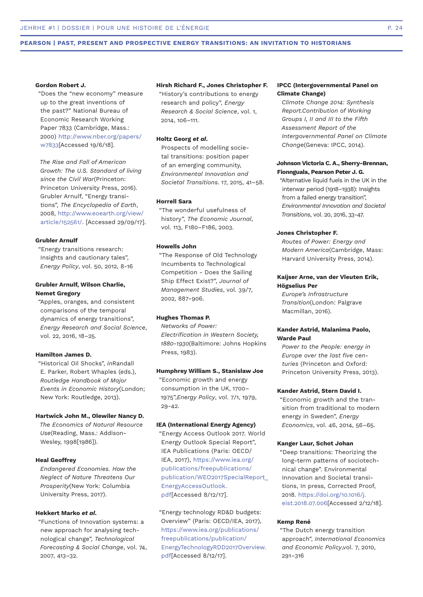#### **Gordon Robert J.**

"Does the "new economy" measure up to the great inventions of the past?" National Bureau of Economic Research Working Paper 7833 (Cambridge, Mass.: 2000) http://www.nber.org/papers/ w7833[Accessed 19/6/18].

*The Rise and Fall of American Growth: The U.S. Standard of living since the Civil War*(Princeton: Princeton University Press, 2016). Grubler Arnulf, "Energy transitions", *The Encyclopedia of Earth*, 2008, http://www.eoearth.org/view/ article/152561/. [Accessed 29/09/17].

# **Grubler Arnulf**

"Energy transitions research: Insights and cautionary tales", *Energy Policy*, vol. 50, 2012, 8-16

# **Grubler Arnulf, Wilson Charlie, Nemet Gregory**

"Apples, oranges, and consistent comparisons of the temporal dynamics of energy transitions", *Energy Research and Social Science*, vol. 22, 2016, 18–25.

# **Hamilton James D.**

"Historical Oil Shocks", *in*Randall E. Parker, Robert Whaples (eds.), *Routledge Handbook of Major Events in Economic History*(London; New York: Routledge, 2013).

# **Hartwick John M., Olewiler Nancy D.**

*The Economics of Natural Resource Use*(Reading, Mass.: Addison-Wesley, 1998[1986]).

# **Heal Geoffrey**

*Endangered Economies. How the Neglect of Nature Threatens Our Prosperity*(New York: Columbia University Press, 2017).

#### **Hekkert Marko** *et al***.**

"Functions of Innovation systems: a new approach for analysing technological change", *Technological Forecasting & Social Change*, vol. 74, 2007, 413–32.

#### **Hirsh Richard F., Jones Christopher F.**

"History's contributions to energy research and policy", *Energy Research & Social Science*, vol. 1, 2014, 106–111.

#### **Holtz Georg** *et al***.**

Prospects of modelling societal transitions: position paper of an emerging community, *Environmental Innovation and Societal Transitions*. 17, 2015, 41–58.

# **Horrell Sara**

"The wonderful usefulness of history", *The Economic Journal*, vol. 113, F180–F186, 2003.

# **Howells John**

"The Response of Old Technology Incumbents to Technological Competition - Does the Sailing Ship Effect Exist?", *Journal of Management Studies*, vol. 39/7, 2002, 887-906.

### **Hughes Thomas P.**

*Networks of Power: Electrification in Western Society, 1880-1930*(Baltimore: Johns Hopkins Press, 1983).

#### **Humphrey William S., Stanislaw Joe**

"Economic growth and energy consumption in the UK, 1700– 1975",*Energy Policy*, vol. 7/1, 1979, 29-42.

#### **IEA (International Energy Agency)**

"Energy Access Outlook 2017. World Energy Outlook Special Report", IEA Publications (Paris: OECD/ IEA, 2017), https://www.iea.org/ publications/freepublications/ publication/WEO2017SpecialReport\_ EnergyAccessOutlook. pdf[Accessed 8/12/17].

"Energy technology RD&D budgets: Overview" (Paris: OECD/IEA, 2017), https://www.iea.org/publications/ freepublications/publication/ EnergyTechnologyRDD2017Overview. pdf[Accessed 8/12/17].

# **IPCC (Intergovernmental Panel on Climate Change)**

*Climate Change 2014: Synthesis Report.Contribution of Working Groups I, II and III to the Fifth Assessment Report of the Intergovernmental Panel on Climate Change*(Geneva: IPCC, 2014).

# **Johnson Victoria C. A., Sherry-Brennan, Fionnguala, Pearson Peter J. G.**

"Alternative liquid fuels in the UK in the interwar period (1918–1938): Insights from a failed energy transition", *Environmental Innovation and Societal Transitions*, vol. 20, 2016, 33-47.

# **Jones Christopher F.**

*Routes of Power: Energy and Modern America*(Cambridge, Mass: Harvard University Press, 2014).

# **Kaijser Arne, van der Vleuten Erik, Högselius Per**

*Europe's Infrastructure Transition*(London: Palgrave Macmillan, 2016).

# **Kander Astrid, Malanima Paolo, Warde Paul**

*Power to the People: energy in Europe over the last five centuries* (Princeton and Oxford: Princeton University Press, 2013).

# **Kander Astrid, Stern David I.**

"Economic growth and the transition from traditional to modern energy in Sweden", *Energy Economics*, vol. 46, 2014, 56–65.

#### **Kanger Laur, Schot Johan**

"Deep transitions: Theorizing the long-term patterns of sociotechnical change". Environmental Innovation and Societal transitions, In press, Corrected Proof, 2018. https://doi.org/10.1016/j. eist.2018.07.006[Accessed 2/12/18].

#### **Kemp René**

"The Dutch energy transition approach", *International Economics and Economic Policy*,vol. 7, 2010, 291–316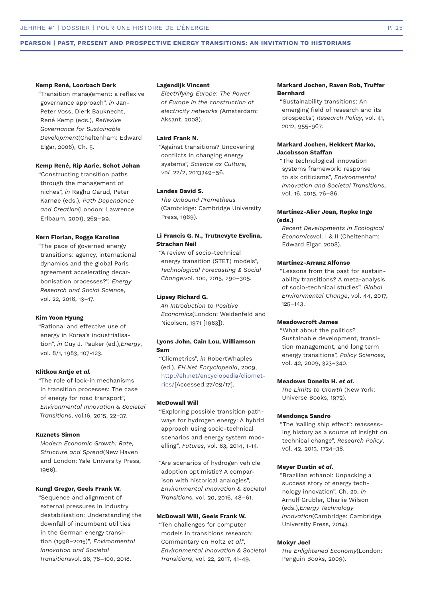#### **Kemp René, Loorbach Derk**

"Transition management: a reflexive governance approach", *in* Jan-Peter Voss, Dierk Bauknecht, René Kemp (eds.), *Reflexive Governance for Sustainable Development*(Cheltenham: Edward Elgar, 2006), Ch. 5.

# **Kemp René, Rip Aarie, Schot Johan**

"Constructing transition paths through the management of niches", *in* Raghu Garud, Peter Karnøe (eds.), *Path Dependence and Creation*(London: Lawrence Erlbaum, 2001), 269–99.

# **Kern Florian, Rogge Karoline**

"The pace of governed energy transitions: agency, international dynamics and the global Paris agreement accelerating decarbonisation processes?", *Energy Research and Social Science*, vol. 22, 2016, 13–17.

### **Kim Yoon Hyung**

"Rational and effective use of energy in Korea's industrialisation", *in* Guy J. Pauker (ed.),*Energy*, vol. 8/1, 1983, 107-123.

#### **Klitkou Antje** *et al.*

"The role of lock-in mechanisms in transition processes: The case of energy for road transport", *Environmental Innovation & Societal Transitions*, vol.16, 2015, 22–37.

#### **Kuznets Simon**

*Modern Economic Growth: Rate, Structure and Spread*(New Haven and London: Yale University Press, 1966).

#### **Kungl Gregor, Geels Frank W.**

"Sequence and alignment of external pressures in industry destabilisation: Understanding the downfall of incumbent utilities in the German energy transition (1998–2015)", *Environmental Innovation and Societal Transitions*vol. 26, 78–100, 2018.

#### **Lagendijk Vincent**

*Electrifying Europe*: *The Power of Europe in the construction of electricity networks (*Amsterdam: Aksant, 2008).

# **Laird Frank N.**

"Against transitions? Uncovering conflicts in changing energy systems", *Science as Culture, vol.* 22/2, 2013,149–56.

# **Landes David S.**

*The Unbound Prometheus*  (Cambridge: Cambridge University Press, 1969).

# **Li Francis G. N., Trutnevyte Evelina, Strachan Neil**

"A review of socio-technical energy transition (STET) models", *Technological Forecasting & Social Change*,vol. 100, 2015, 290–305.

#### **Lipsey Richard G.**

*An Introduction to Positive Economics*(London: Weidenfeld and Nicolson, 1971 [1963]).

# **Lyons John, Cain Lou, Williamson Sam**

"Cliometrics", *in* RobertWhaples (ed.), *EH.Net Encyclopedia*, 2009, http://eh.net/encyclopedia/cliometrics/[Accessed 27/09/17].

#### **McDowall Will**

"Exploring possible transition pathways for hydrogen energy: A hybrid approach using socio-technical scenarios and energy system modelling", *Futures*, vol. 63, 2014, 1-14.

"Are scenarios of hydrogen vehicle adoption optimistic? A comparison with historical analogies", *Environmental Innovation & Societal Transitions*, vol. 20, 2016, 48–61.

# **McDowall Will, Geels Frank W.**

"Ten challenges for computer models in transitions research: Commentary on Holtz *et al*.", *Environmental Innovation & Societal Transitions*, vol. 22, 2017, 41-49.

# **Markard Jochen, Raven Rob, Truffer Bernhard**

"Sustainability transitions: An emerging field of research and its prospects", *Research Policy*, vol. 41, 2012, 955-967.

### **Markard Jochen, Hekkert Marko, Jacobsson Staffan**

"The technological innovation systems framework: response to six criticisms", *Environmental Innovation and Societal Transitions*, vol. 16, 2015, 76–86.

# **Martínez-Alier Joan, Røpke Inge (eds.)**

*Recent Developments in Ecological Economics*vol. I & II (Cheltenham: Edward Elgar, 2008).

# **Martínez-Arranz Alfonso**

"Lessons from the past for sustainability transitions? A meta-analysis of socio-technical studies", *Global Environmental Change*, vol. 44, 2017, 125–143.

### **Meadowcroft James**

"What about the politics? Sustainable development, transition management, and long term energy transitions", *Policy Sciences*, vol. 42, 2009, 323–340.

#### **Meadows Donella H.** *et al***.**

*The Limits to Growth* (New York: Universe Books, 1972).

# **Mendonça Sandro**

"The 'sailing ship effect': reassessing history as a source of insight on technical change", *Research Policy*, vol. 42, 2013, 1724–38.

#### **Meyer Dustin** *et al***.**

"Brazilian ethanol: Unpacking a success story of energy technology innovation", Ch. 20, *in*  Arnulf Grubler, Charlie Wilson (eds.),*Energy Technology Innovation*(Cambridge: Cambridge University Press, 2014).

#### **Mokyr Joel**

*The Enlightened Economy*(London: Penguin Books, 2009).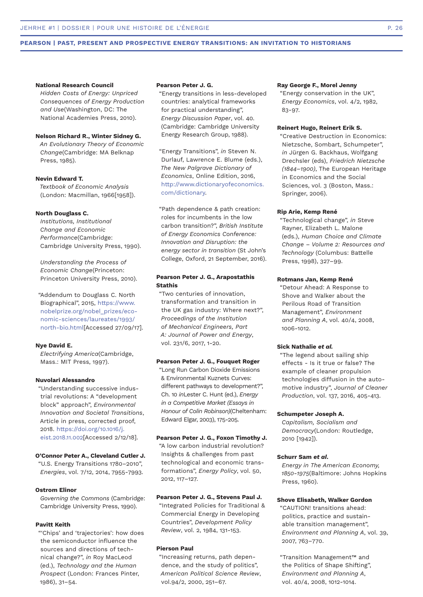#### **National Research Council**

*Hidden Costs of Energy: Unpriced Consequences of Energy Production and Use*(Washington, DC: The National Academies Press, 2010).

# **Nelson Richard R., Winter Sidney G.**

*An Evolutionary Theory of Economic Change*(Cambridge: MA Belknap Press, 1985).

#### **Nevin Edward T.**

*Textbook of Economic Analysis*  (London: Macmillan, 1966[1958]).

#### **North Douglass C.**

*Institutions, Institutional Change and Economic Performance*(Cambridge: Cambridge University Press, 1990).

*Understanding the Process of Economic Change*(Princeton: Princeton University Press, 2010).

"Addendum to Douglass C. North Biographical", 2015, https://www. nobelprize.org/nobel\_prizes/economic-sciences/laureates/1993/ north-bio.html[Accessed 27/09/17].

### **Nye David E.**

*Electrifying America*(Cambridge, Mass.: MIT Press, 1997).

# **Nuvolari Alessandro**

"Understanding successive industrial revolutions: A "development block" approach", *Environmental Innovation and Societal Transitions*, Article in press, corrected proof, 2018. https://doi.org/10.1016/j. eist.2018.11.002[Accessed 2/12/18].

# **O'Connor Peter A., Cleveland Cutler J.**

"U.S. Energy Transitions 1780–2010", *Energies*, vol. 7/12, 2014, 7955-7993.

#### **Ostrom Elinor**

*Governing the Commons* (Cambridge: Cambridge University Press, 1990).

#### **Pavitt Keith**

"'Chips' and 'trajectories': how does the semiconductor influence the sources and directions of technical change?", *in* Roy MacLeod (ed.), *Technology and the Human Prospect* (London: Frances Pinter, 1986), 31–54.

#### **Pearson Peter J. G.**

"Energy transitions in less-developed countries: analytical frameworks for practical understanding", *Energy Discussion Paper*, vol. 40. (Cambridge: Cambridge University Energy Research Group, 1988).

"Energy Transitions", *in* Steven N. Durlauf, Lawrence E. Blume (eds.), *The New Palgrave Dictionary of Economics*, Online Edition, 2016, http://www.dictionaryofeconomics. com/dictionary.

"Path dependence & path creation: roles for incumbents in the low carbon transition?", *British Institute of Energy Economics Conference: Innovation and Disruption: the energy sector in transition* (St John's College, Oxford, 21 September, 2016).

# **Pearson Peter J. G., Arapostathis Stathis**

"Two centuries of innovation, transformation and transition in the UK gas industry: Where next?", *Proceedings of the Institution of Mechanical Engineers, Part A: Journal of Power and Energy*, vol. 231/6, 2017, 1-20.

#### **Pearson Peter J. G., Fouquet Roger**

"Long Run Carbon Dioxide Emissions & Environmental Kuznets Curves: different pathways to development?", Ch. 10 *in*Lester C. Hunt (ed.), *Energy in a Competitive Market (Essays in Honour of Colin Robinson)*(Cheltenham: Edward Elgar, 2003), 175-205.

# **Pearson Peter J. G., Foxon Timothy J.**

"A low carbon industrial revolution? Insights & challenges from past technological and economic transformations", *Energy Policy*, vol. 50, 2012, 117–127.

#### **Pearson Peter J. G., Stevens Paul J.**

"Integrated Policies for Traditional & Commercial Energy in Developing Countries", *Development Policy Review*, vol. 2, 1984, 131-153.

# **Pierson Paul**

"Increasing returns, path dependence, and the study of politics", *American Political Science Review*, vol.94/2, 2000, 251–67.

#### **Ray George F., Morel Jenny**

"Energy conservation in the UK", *Energy Economics*, vol. 4/2, 1982, 83-97.

# **Reinert Hugo, Reinert Erik S.**

"Creative Destruction in Economics: Nietzsche, Sombart, Schumpeter", *in* Jürgen G. Backhaus, Wolfgang Drechsler (eds), *Friedrich Nietzsche (1844–1900)*, The European Heritage in Economics and the Social Sciences, vol. 3 (Boston, Mass.: Springer, 2006).

#### **Rip Arie, Kemp René**

"Technological change", *in* Steve Rayner, Elizabeth L. Malone (eds.), *Human Choice and Climate Change – Volume 2: Resources and Technology* (Columbus: Battelle Press, 1998), 327–99.

#### **Rotmans Jan, Kemp René**

"Detour Ahead: A Response to Shove and Walker about the Perilous Road of Transition Management", *Environment and Planning A*, vol. 40/4, 2008, 1006-1012.

# **Sick Nathalie** *et al.*

"The legend about sailing ship effects - Is it true or false? The example of cleaner propulsion technologies diffusion in the automotive industry", *Journal of Cleaner Production*, vol. 137, 2016, 405-413.

#### **Schumpeter Joseph A.**

*Capitalism, Socialism and Democracy*(London: Routledge, 2010 [1942]).

#### **Schurr Sam** *et al***.**

*Energy in The American Economy, 1850-1975*(Baltimore: Johns Hopkins Press, 1960).

# **Shove Elisabeth, Walker Gordon**

"CAUTION! transitions ahead: politics, practice and sustainable transition management", *Environment and Planning A*, vol. 39, 2007, 763–770.

"Transition Management™ and the Politics of Shape Shifting", *Environment and Planning A*, vol. 40/4, 2008, 1012-1014.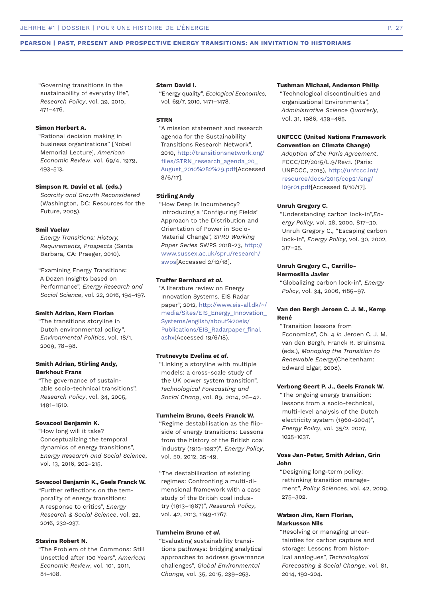"Governing transitions in the sustainability of everyday life", *Research Policy*, vol. 39, 2010, 471–476.

# **Simon Herbert A.**

"Rational decision making in business organizations" [Nobel Memorial Lecture], *American Economic Review*, vol. 69/4, 1979, 493-513.

#### **Simpson R. David et al. (eds.)**

*Scarcity and Growth Reconsidered*  (Washington, DC: Resources for the Future, 2005).

# **Smil Vaclav**

*Energy Transitions: History, Requirements, Prospects* (Santa Barbara, CA: Praeger, 2010).

"Examining Energy Transitions: A Dozen Insights based on Performance", *Energy Research and Social Science*, vol. 22, 2016, 194–197.

### **Smith Adrian, Kern Florian**

"The transitions storyline in Dutch environmental policy", *Environmental Politics*, vol. 18/1, 2009, 78–98.

# **Smith Adrian, Stirling Andy, Berkhout Frans**

"The governance of sustainable socio-technical transitions", *Research Policy*, vol. 34, 2005, 1491–1510.

# **Sovacool Benjamin K.**

"How long will it take? Conceptualizing the temporal dynamics of energy transitions", *Energy Research and Social Science*, vol. 13, 2016, 202–215.

#### **Sovacool Benjamin K., Geels Franck W.**

"Further reflections on the temporality of energy transitions: A response to critics", *Energy Research & Social Science*, vol. 22, 2016, 232-237.

# **Stavins Robert N.**

"The Problem of the Commons: Still Unsettled after 100 Years", *American Economic Review*, vol. 101, 2011, 81–108.

#### **Stern David I.**

"Energy quality", *Ecological Economics*, vol. 69/7, 2010, 1471–1478.

# **STRN**

"A mission statement and research agenda for the Sustainability Transitions Research Network", 2010, http://transitionsnetwork.org/ files/STRN\_research\_agenda\_20 August\_2010%282%29.pdf[Accessed 8/6/17].

#### **Stirling Andy**

"How Deep Is Incumbency? Introducing a 'Configuring Fields' Approach to the Distribution and Orientation of Power in Socio-Material Change", *SPRU Working Paper Series* SWPS 2018-23, http:// www.sussex.ac.uk/spru/research/ swps[Accessed 2/12/18].

#### **Truffer Bernhard** *et al***.**

"A literature review on Energy Innovation Systems. EIS Radar paper", 2012, http://www.eis-all.dk/~/ media/Sites/EIS\_Energy\_Innovation\_ Systems/english/about%20eis/ Publications/EIS\_Radarpaper\_final. ashx(Accessed 19/6/18).

# **Trutnevyte Evelina** *et al***.**

"Linking a storyline with multiple models: a cross-scale study of the UK power system transition", *Technological Forecasting and Social Chang*, vol. 89, 2014, 26–42.

# **Turnheim Bruno, Geels Franck W.**

"Regime destabilisation as the flipside of energy transitions: Lessons from the history of the British coal industry (1913-1997)", *Energy Policy*, vol. 50, 2012, 35-49.

"The destabilisation of existing regimes: Confronting a multi-dimensional framework with a case study of the British coal industry (1913–1967)", *Research Policy*, vol. 42, 2013, 1749-1767.

# **Turnheim Bruno** *et al***.**

"Evaluating sustainability transitions pathways: bridging analytical approaches to address governance challenges", *Global Environmental Change*, vol. 35, 2015, 239–253.

#### **Tushman Michael, Anderson Philip**

"Technological discontinuities and organizational Environments", *Administrative Science Quarterly*, vol. 31, 1986, 439–465.

# **UNFCCC (United Nations Framework Convention on Climate Change)**

*Adoption of the Paris Agreement*, FCCC/CP/2015/L.9/Rev.1. (Paris: UNFCCC, 2015), http://unfccc.int/ resource/docs/2015/cop21/eng/ l09r01.pdf[Accessed 8/10/17].

#### **Unruh Gregory C.**

"Understanding carbon lock-in",*Energy Policy*, vol. 28, 2000, 817–30. Unruh Gregory C., "Escaping carbon lock-in", *Energy Policy*, vol. 30, 2002, 317–25.

# **Unruh Gregory C., Carrillo-Hermosilla Javier**

"Globalizing carbon lock-in", *Energy Policy*, vol. 34, 2006, 1185–97.

# **Van den Bergh Jeroen C. J. M., Kemp René**

"Transition lessons from Economics", Ch. 4 *in* Jeroen C. J. M. van den Bergh, Franck R. Bruinsma (eds.), *Managing the Transition to Renewable Energy*(Cheltenham: Edward Elgar, 2008).

# **Verbong Geert P. J., Geels Franck W.**

"The ongoing energy transition: lessons from a socio-technical, multi-level analysis of the Dutch electricity system (1960-2004)", *Energy Policy*, vol. 35/2, 2007, 1025-1037.

### **Voss Jan-Peter, Smith Adrian, Grin John**

"Designing long-term policy: rethinking transition management", *Policy Sciences*, vol. 42, 2009, 275–302.

# **Watson Jim, Kern Florian, Markusson Nils**

"Resolving or managing uncertainties for carbon capture and storage: Lessons from historical analogues", *Technological Forecasting & Social Change*, vol. 81, 2014, 192-204.